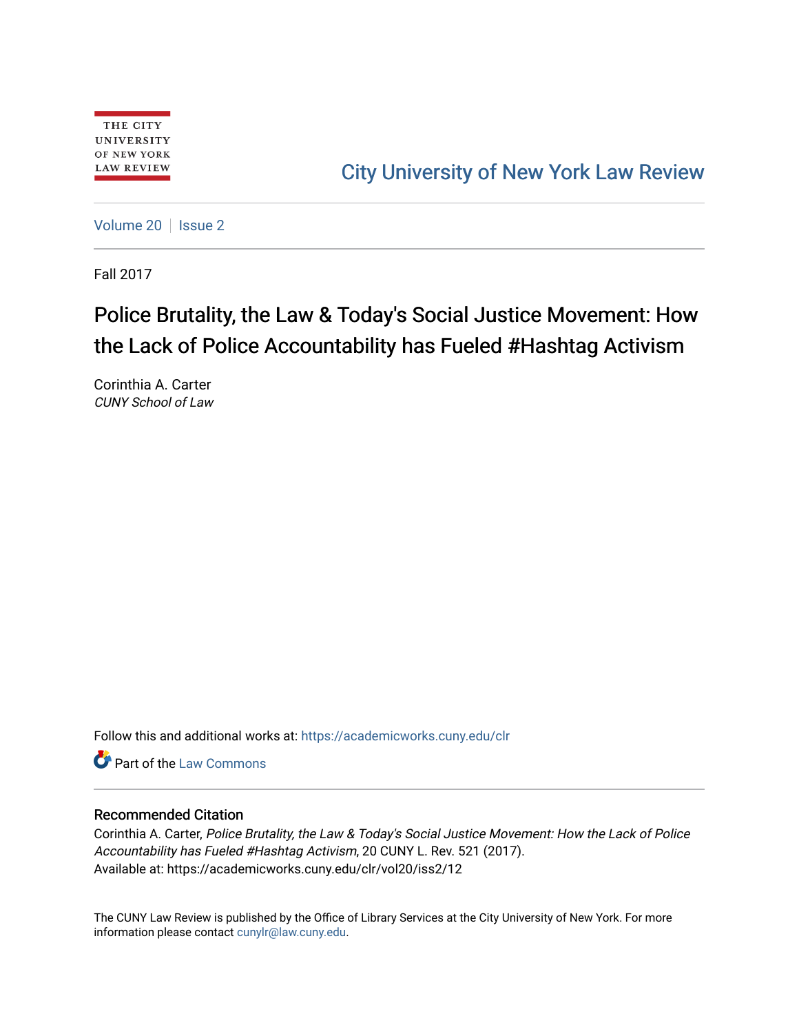# [City University of New York Law Review](https://academicworks.cuny.edu/clr)

[Volume 20](https://academicworks.cuny.edu/clr/vol20) | [Issue 2](https://academicworks.cuny.edu/clr/vol20/iss2)

Fall 2017

# Police Brutality, the Law & Today's Social Justice Movement: How the Lack of Police Accountability has Fueled #Hashtag Activism

Corinthia A. Carter CUNY School of Law

Follow this and additional works at: [https://academicworks.cuny.edu/clr](https://academicworks.cuny.edu/clr?utm_source=academicworks.cuny.edu%2Fclr%2Fvol20%2Fiss2%2F12&utm_medium=PDF&utm_campaign=PDFCoverPages) 

Part of the [Law Commons](http://network.bepress.com/hgg/discipline/578?utm_source=academicworks.cuny.edu%2Fclr%2Fvol20%2Fiss2%2F12&utm_medium=PDF&utm_campaign=PDFCoverPages)

## Recommended Citation

Corinthia A. Carter, Police Brutality, the Law & Today's Social Justice Movement: How the Lack of Police Accountability has Fueled #Hashtag Activism, 20 CUNY L. Rev. 521 (2017). Available at: https://academicworks.cuny.edu/clr/vol20/iss2/12

The CUNY Law Review is published by the Office of Library Services at the City University of New York. For more information please contact [cunylr@law.cuny.edu](mailto:cunylr@law.cuny.edu).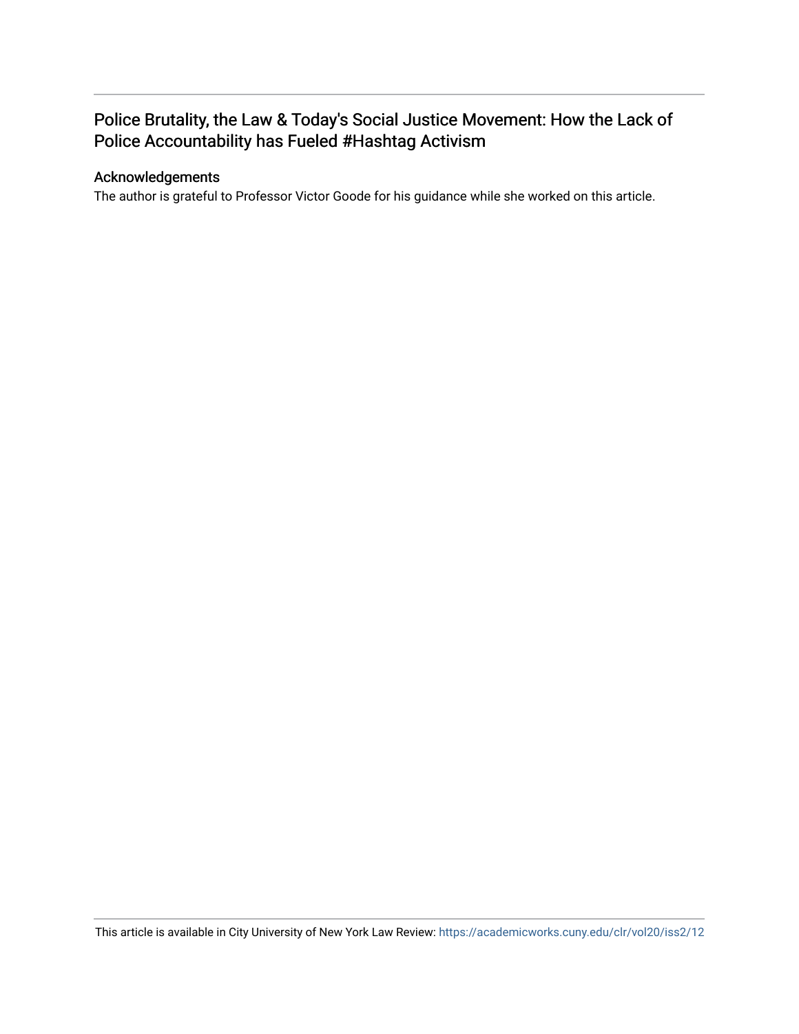## Police Brutality, the Law & Today's Social Justice Movement: How the Lack of Police Accountability has Fueled #Hashtag Activism

## Acknowledgements

The author is grateful to Professor Victor Goode for his guidance while she worked on this article.

This article is available in City University of New York Law Review:<https://academicworks.cuny.edu/clr/vol20/iss2/12>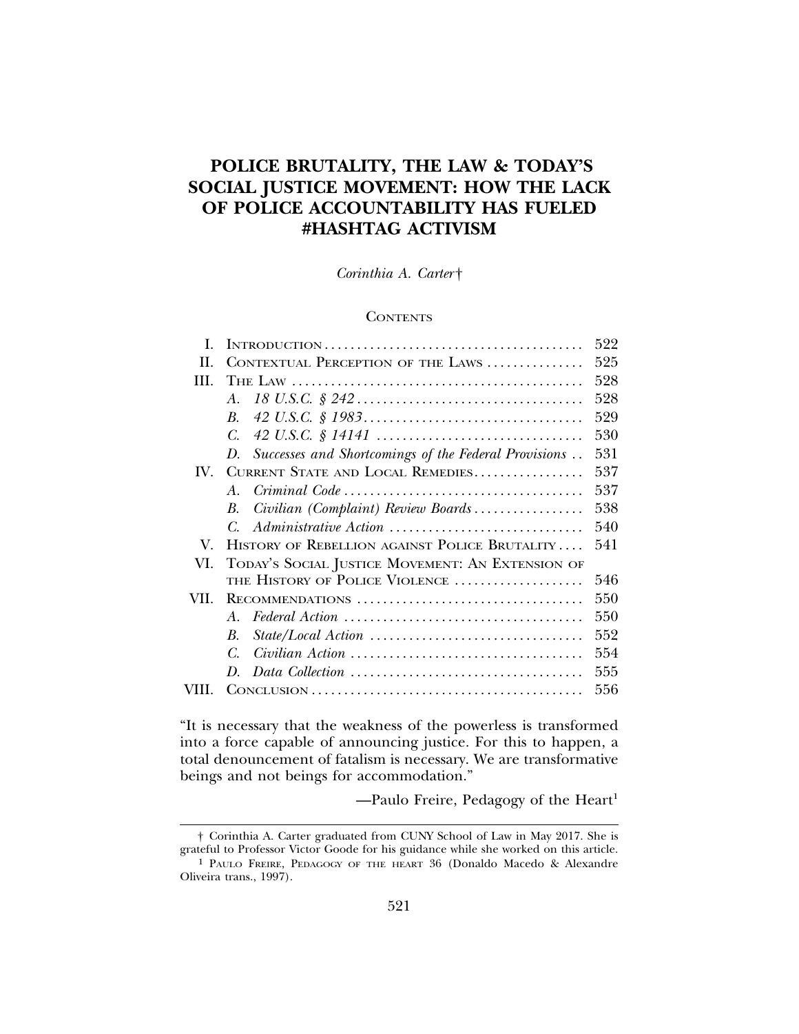## **POLICE BRUTALITY, THE LAW & TODAY'S SOCIAL JUSTICE MOVEMENT: HOW THE LACK OF POLICE ACCOUNTABILITY HAS FUELED #HASHTAG ACTIVISM**

*Corinthia A. Carter* †

## **CONTENTS**

| L    |                                                                                                         | 522 |
|------|---------------------------------------------------------------------------------------------------------|-----|
| II   | CONTEXTUAL PERCEPTION OF THE LAWS                                                                       | 525 |
| Ш    |                                                                                                         | 528 |
|      | $A_{-}$                                                                                                 | 528 |
|      | $\boldsymbol{B}$                                                                                        | 529 |
|      | C.                                                                                                      | 530 |
|      | Successes and Shortcomings of the Federal Provisions<br>D.                                              | 531 |
| IV.  | CURRENT STATE AND LOCAL REMEDIES                                                                        | 537 |
|      | $Criminal Code \ldots \ldots \ldots \ldots \ldots \ldots \ldots \ldots \ldots \ldots \ldots$<br>$A_{-}$ | 537 |
|      | Civilian (Complaint) Review Boards<br>В.                                                                | 538 |
|      | Administrative Action<br>C.                                                                             | 540 |
| V.   | HISTORY OF REBELLION AGAINST POLICE BRUTALITY                                                           | 541 |
| VI.  | TODAY'S SOCIAL JUSTICE MOVEMENT: AN EXTENSION OF                                                        |     |
|      | THE HISTORY OF POLICE VIOLENCE                                                                          | 546 |
| VII. | RECOMMENDATIONS                                                                                         | 550 |
|      | A                                                                                                       | 550 |
|      | $B_{\cdot}$                                                                                             | 552 |
|      | C.                                                                                                      | 554 |
|      | $D_{\rm c}$                                                                                             | 555 |
|      |                                                                                                         | 556 |
|      |                                                                                                         |     |

"It is necessary that the weakness of the powerless is transformed into a force capable of announcing justice. For this to happen, a total denouncement of fatalism is necessary. We are transformative beings and not beings for accommodation."

-Paulo Freire, Pedagogy of the Heart<sup>1</sup>

<sup>†</sup> Corinthia A. Carter graduated from CUNY School of Law in May 2017. She is grateful to Professor Victor Goode for his guidance while she worked on this article.

<sup>1</sup> PAULO FREIRE, PEDAGOGY OF THE HEART 36 (Donaldo Macedo & Alexandre Oliveira trans., 1997).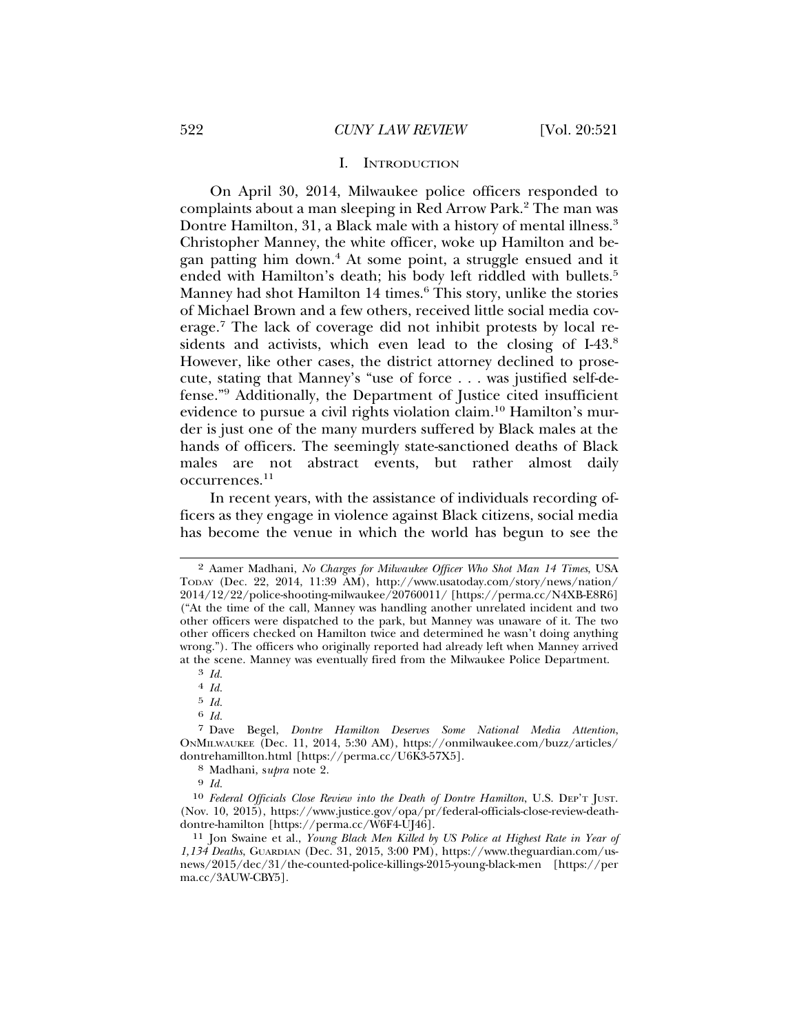#### I. INTRODUCTION

On April 30, 2014, Milwaukee police officers responded to complaints about a man sleeping in Red Arrow Park.<sup>2</sup> The man was Dontre Hamilton, 31, a Black male with a history of mental illness.3 Christopher Manney, the white officer, woke up Hamilton and began patting him down.4 At some point, a struggle ensued and it ended with Hamilton's death; his body left riddled with bullets.<sup>5</sup> Manney had shot Hamilton 14 times.<sup>6</sup> This story, unlike the stories of Michael Brown and a few others, received little social media coverage.<sup>7</sup> The lack of coverage did not inhibit protests by local residents and activists, which even lead to the closing of I-43.<sup>8</sup> However, like other cases, the district attorney declined to prosecute, stating that Manney's "use of force . . . was justified self-defense."9 Additionally, the Department of Justice cited insufficient evidence to pursue a civil rights violation claim.<sup>10</sup> Hamilton's murder is just one of the many murders suffered by Black males at the hands of officers. The seemingly state-sanctioned deaths of Black males are not abstract events, but rather almost daily occurrences.<sup>11</sup>

In recent years, with the assistance of individuals recording officers as they engage in violence against Black citizens, social media has become the venue in which the world has begun to see the

4 *Id.*

5 *Id.*

6 *Id.*

8 Madhani, s*upra* note 2.

9 *Id.*

<sup>2</sup> Aamer Madhani, *No Charges for Milwaukee Officer Who Shot Man 14 Times*, USA TODAY (Dec. 22, 2014, 11:39 AM), http://www.usatoday.com/story/news/nation/ 2014/12/22/police-shooting-milwaukee/20760011/ [https://perma.cc/N4XB-E8R6] ("At the time of the call, Manney was handling another unrelated incident and two other officers were dispatched to the park, but Manney was unaware of it. The two other officers checked on Hamilton twice and determined he wasn't doing anything wrong."). The officers who originally reported had already left when Manney arrived at the scene. Manney was eventually fired from the Milwaukee Police Department.

<sup>3</sup> *Id.*

<sup>7</sup> Dave Begel, *Dontre Hamilton Deserves Some National Media Attention*, ONMILWAUKEE (Dec. 11, 2014, 5:30 AM), https://onmilwaukee.com/buzz/articles/ dontrehamillton.html [https://perma.cc/U6K3-57X5].

<sup>10</sup> *Federal Officials Close Review into the Death of Dontre Hamilton*, U.S. DEP'T JUST. (Nov. 10, 2015), https://www.justice.gov/opa/pr/federal-officials-close-review-deathdontre-hamilton [https://perma.cc/W6F4-UJ46].

<sup>11</sup> Jon Swaine et al., *Young Black Men Killed by US Police at Highest Rate in Year of 1,134 Deaths*, GUARDIAN (Dec. 31, 2015, 3:00 PM), https://www.theguardian.com/usnews/2015/dec/31/the-counted-police-killings-2015-young-black-men [https://per ma.cc/3AUW-CBY5].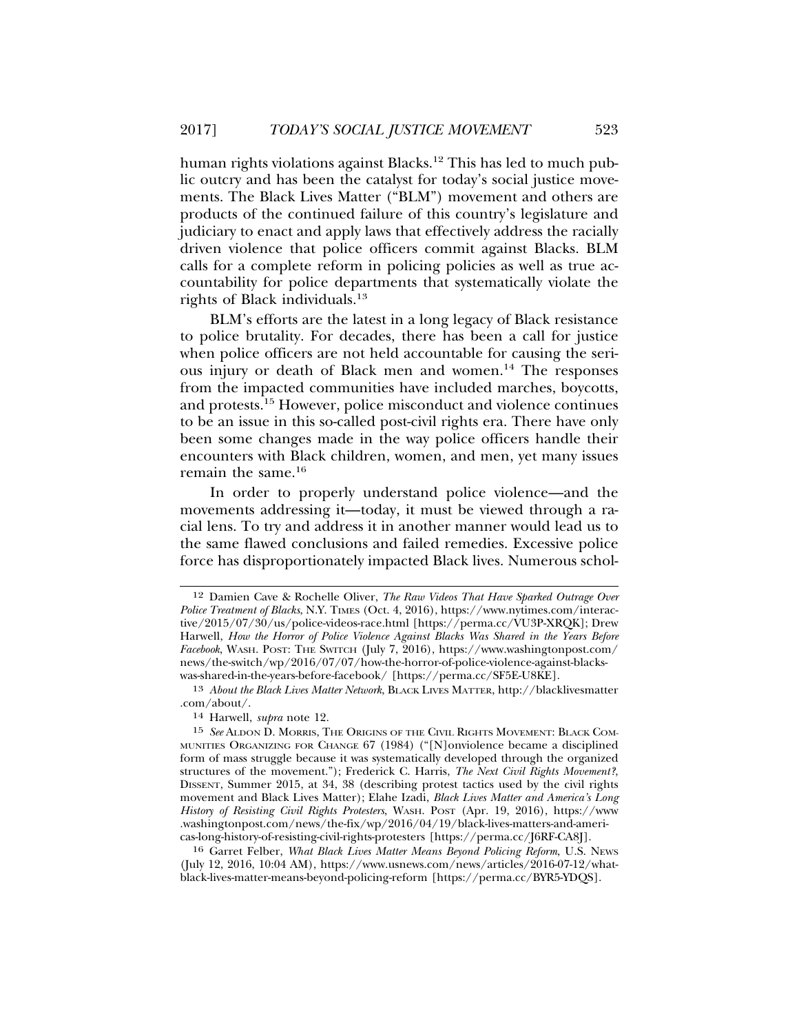human rights violations against Blacks.<sup>12</sup> This has led to much public outcry and has been the catalyst for today's social justice movements. The Black Lives Matter ("BLM") movement and others are products of the continued failure of this country's legislature and judiciary to enact and apply laws that effectively address the racially driven violence that police officers commit against Blacks. BLM calls for a complete reform in policing policies as well as true accountability for police departments that systematically violate the rights of Black individuals.13

BLM's efforts are the latest in a long legacy of Black resistance to police brutality. For decades, there has been a call for justice when police officers are not held accountable for causing the serious injury or death of Black men and women.14 The responses from the impacted communities have included marches, boycotts, and protests.15 However, police misconduct and violence continues to be an issue in this so-called post-civil rights era. There have only been some changes made in the way police officers handle their encounters with Black children, women, and men, yet many issues remain the same.16

In order to properly understand police violence—and the movements addressing it—today, it must be viewed through a racial lens. To try and address it in another manner would lead us to the same flawed conclusions and failed remedies. Excessive police force has disproportionately impacted Black lives. Numerous schol-

<sup>12</sup> Damien Cave & Rochelle Oliver, *The Raw Videos That Have Sparked Outrage Over Police Treatment of Blacks*, N.Y. TIMES (Oct. 4, 2016), https://www.nytimes.com/interactive/2015/07/30/us/police-videos-race.html [https://perma.cc/VU3P-XRQK]; Drew Harwell, *How the Horror of Police Violence Against Blacks Was Shared in the Years Before Facebook*, WASH. POST: THE SWITCH (July 7, 2016), https://www.washingtonpost.com/ news/the-switch/wp/2016/07/07/how-the-horror-of-police-violence-against-blackswas-shared-in-the-years-before-facebook/ [https://perma.cc/SF5E-U8KE].

<sup>13</sup> *About the Black Lives Matter Network*, BLACK LIVES MATTER, http://blacklivesmatter .com/about/.

<sup>14</sup> Harwell, *supra* note 12.

<sup>15</sup> *See* ALDON D. MORRIS, THE ORIGINS OF THE CIVIL RIGHTS MOVEMENT: BLACK COM-MUNITIES ORGANIZING FOR CHANGE 67 (1984) ("[N]onviolence became a disciplined form of mass struggle because it was systematically developed through the organized structures of the movement."); Frederick C. Harris, *The Next Civil Rights Movement?*, DISSENT, Summer 2015, at 34, 38 (describing protest tactics used by the civil rights movement and Black Lives Matter); Elahe Izadi, *Black Lives Matter and America's Long History of Resisting Civil Rights Protesters*, WASH. POST (Apr. 19, 2016), https://www .washingtonpost.com/news/the-fix/wp/2016/04/19/black-lives-matters-and-americas-long-history-of-resisting-civil-rights-protesters [https://perma.cc/J6RF-CA8J].

<sup>16</sup> Garret Felber, *What Black Lives Matter Means Beyond Policing Reform*, U.S. NEWS (July 12, 2016, 10:04 AM), https://www.usnews.com/news/articles/2016-07-12/whatblack-lives-matter-means-beyond-policing-reform [https://perma.cc/BYR5-YDQS].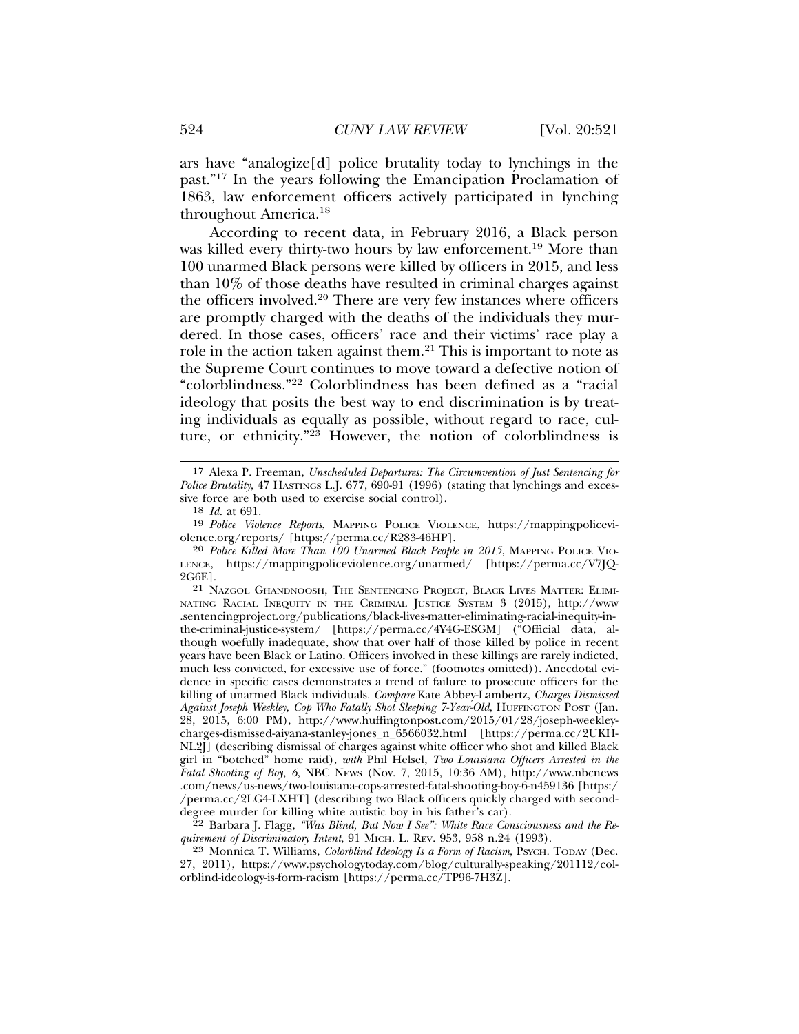ars have "analogize[d] police brutality today to lynchings in the past."17 In the years following the Emancipation Proclamation of 1863, law enforcement officers actively participated in lynching throughout America.18

According to recent data, in February 2016, a Black person was killed every thirty-two hours by law enforcement.<sup>19</sup> More than 100 unarmed Black persons were killed by officers in 2015, and less than 10% of those deaths have resulted in criminal charges against the officers involved.20 There are very few instances where officers are promptly charged with the deaths of the individuals they murdered. In those cases, officers' race and their victims' race play a role in the action taken against them.21 This is important to note as the Supreme Court continues to move toward a defective notion of "colorblindness."22 Colorblindness has been defined as a "racial ideology that posits the best way to end discrimination is by treating individuals as equally as possible, without regard to race, culture, or ethnicity."23 However, the notion of colorblindness is

21 NAZGOL GHANDNOOSH, THE SENTENCING PROJECT, BLACK LIVES MATTER: ELIMI-NATING RACIAL INEQUITY IN THE CRIMINAL JUSTICE SYSTEM 3 (2015), http://www .sentencingproject.org/publications/black-lives-matter-eliminating-racial-inequity-inthe-criminal-justice-system/ [https://perma.cc/4Y4G-ESGM] ("Official data, although woefully inadequate, show that over half of those killed by police in recent years have been Black or Latino. Officers involved in these killings are rarely indicted, much less convicted, for excessive use of force." (footnotes omitted)). Anecdotal evidence in specific cases demonstrates a trend of failure to prosecute officers for the killing of unarmed Black individuals. *Compare* Kate Abbey-Lambertz, *Charges Dismissed Against Joseph Weekley, Cop Who Fatally Shot Sleeping 7-Year-Old*, HUFFINGTON POST (Jan. 28, 2015, 6:00 PM), http://www.huffingtonpost.com/2015/01/28/joseph-weekleycharges-dismissed-aiyana-stanley-jones\_n\_6566032.html [https://perma.cc/2UKH-NL2J] (describing dismissal of charges against white officer who shot and killed Black girl in "botched" home raid), *with* Phil Helsel, *Two Louisiana Officers Arrested in the Fatal Shooting of Boy, 6*, NBC NEWS (Nov. 7, 2015, 10:36 AM), http://www.nbcnews .com/news/us-news/two-louisiana-cops-arrested-fatal-shooting-boy-6-n459136 [https:/ /perma.cc/2LG4-LXHT] (describing two Black officers quickly charged with seconddegree murder for killing white autistic boy in his father's car).

22 Barbara J. Flagg, *"Was Blind, But Now I See": White Race Consciousness and the Requirement of Discriminatory Intent*, 91 MICH. L. REV. 953, 958 n.24 (1993).

23 Monnica T. Williams, *Colorblind Ideology Is a Form of Racism*, PSYCH. TODAY (Dec. 27, 2011), https://www.psychologytoday.com/blog/culturally-speaking/201112/colorblind-ideology-is-form-racism [https://perma.cc/TP96-7H3Z].

<sup>17</sup> Alexa P. Freeman, *Unscheduled Departures: The Circumvention of Just Sentencing for Police Brutality*, 47 HASTINGS L.J. 677, 690-91 (1996) (stating that lynchings and excessive force are both used to exercise social control).

<sup>18</sup> *Id.* at 691.

<sup>19</sup> *Police Violence Reports*, MAPPING POLICE VIOLENCE, https://mappingpoliceviolence.org/reports/ [https://perma.cc/R283-46HP].

<sup>20</sup> *Police Killed More Than 100 Unarmed Black People in 2015*, MAPPING POLICE VIO-LENCE, https://mappingpoliceviolence.org/unarmed/ [https://perma.cc/V7JQ-2G6E].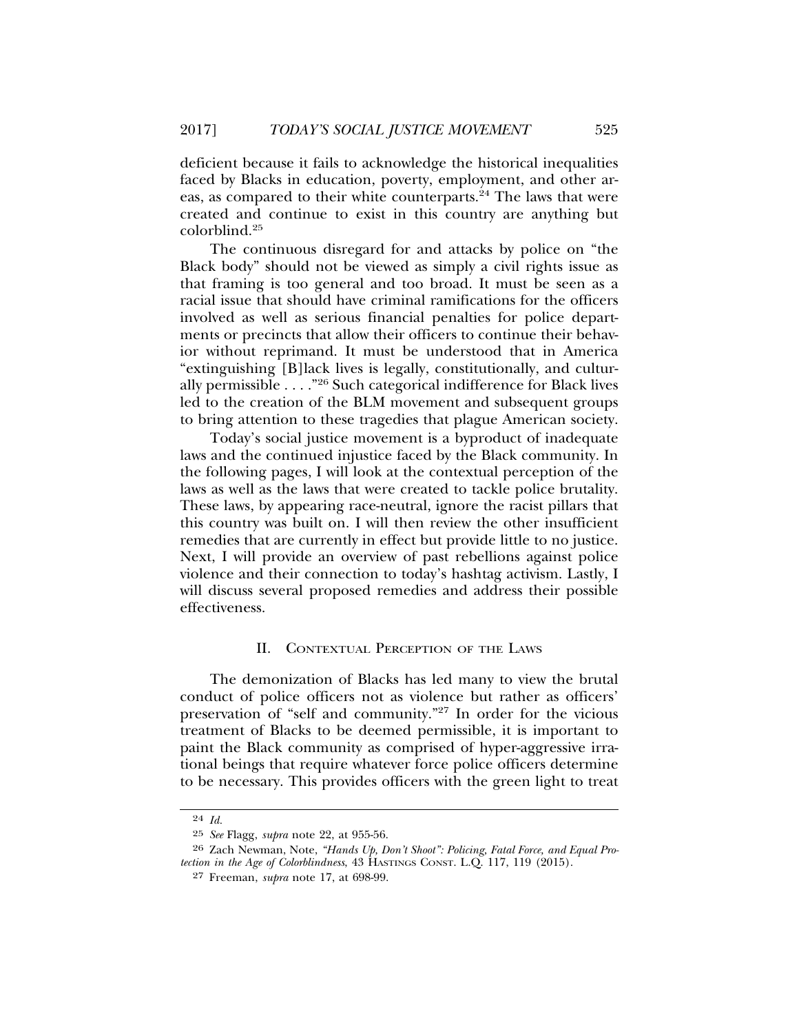deficient because it fails to acknowledge the historical inequalities faced by Blacks in education, poverty, employment, and other areas, as compared to their white counterparts.<sup>24</sup> The laws that were created and continue to exist in this country are anything but colorblind.<sup>25</sup>

The continuous disregard for and attacks by police on "the Black body" should not be viewed as simply a civil rights issue as that framing is too general and too broad. It must be seen as a racial issue that should have criminal ramifications for the officers involved as well as serious financial penalties for police departments or precincts that allow their officers to continue their behavior without reprimand. It must be understood that in America "extinguishing [B]lack lives is legally, constitutionally, and culturally permissible . . . ."26 Such categorical indifference for Black lives led to the creation of the BLM movement and subsequent groups to bring attention to these tragedies that plague American society.

Today's social justice movement is a byproduct of inadequate laws and the continued injustice faced by the Black community. In the following pages, I will look at the contextual perception of the laws as well as the laws that were created to tackle police brutality. These laws, by appearing race-neutral, ignore the racist pillars that this country was built on. I will then review the other insufficient remedies that are currently in effect but provide little to no justice. Next, I will provide an overview of past rebellions against police violence and their connection to today's hashtag activism. Lastly, I will discuss several proposed remedies and address their possible effectiveness.

## II. CONTEXTUAL PERCEPTION OF THE LAWS

The demonization of Blacks has led many to view the brutal conduct of police officers not as violence but rather as officers' preservation of "self and community."27 In order for the vicious treatment of Blacks to be deemed permissible, it is important to paint the Black community as comprised of hyper-aggressive irrational beings that require whatever force police officers determine to be necessary. This provides officers with the green light to treat

<sup>24</sup> *Id.*

<sup>25</sup> *See* Flagg, *supra* note 22, at 955-56.

<sup>26</sup> Zach Newman, Note, *"Hands Up, Don't Shoot": Policing, Fatal Force, and Equal Protection in the Age of Colorblindness*, 43 HASTINGS CONST. L.Q. 117, 119 (2015).

<sup>27</sup> Freeman, *supra* note 17, at 698-99.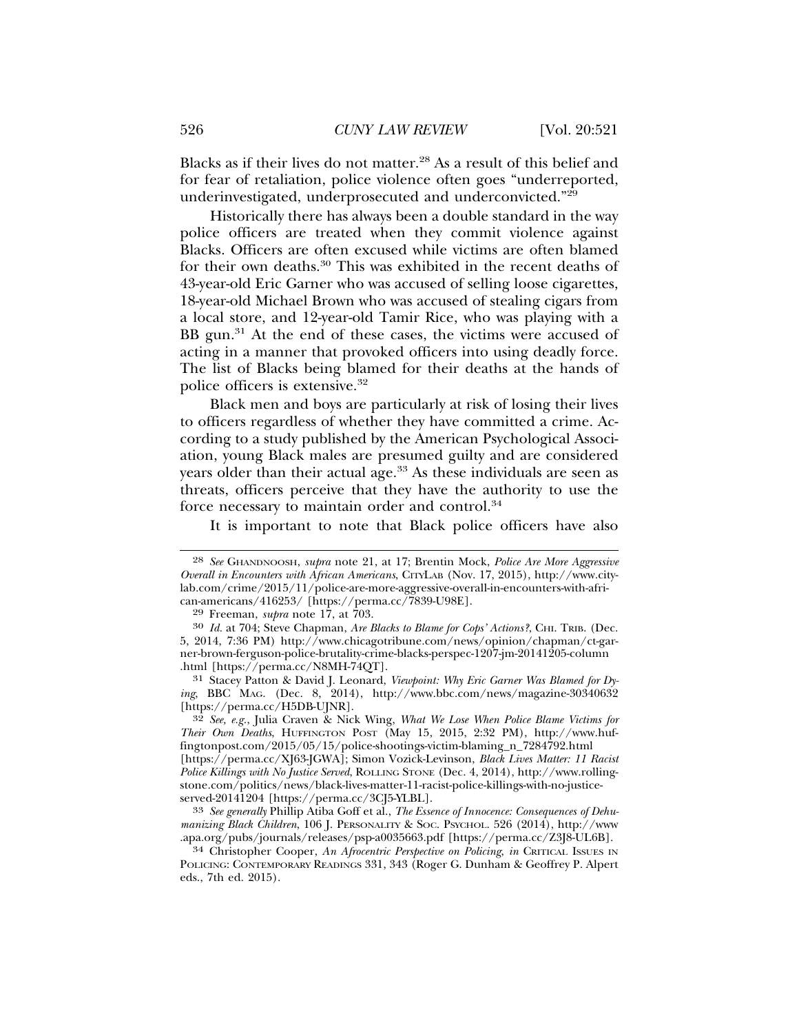Blacks as if their lives do not matter.28 As a result of this belief and for fear of retaliation, police violence often goes "underreported, underinvestigated, underprosecuted and underconvicted."29

Historically there has always been a double standard in the way police officers are treated when they commit violence against Blacks. Officers are often excused while victims are often blamed for their own deaths.30 This was exhibited in the recent deaths of 43-year-old Eric Garner who was accused of selling loose cigarettes, 18-year-old Michael Brown who was accused of stealing cigars from a local store, and 12-year-old Tamir Rice, who was playing with a BB gun.<sup>31</sup> At the end of these cases, the victims were accused of acting in a manner that provoked officers into using deadly force. The list of Blacks being blamed for their deaths at the hands of police officers is extensive.32

Black men and boys are particularly at risk of losing their lives to officers regardless of whether they have committed a crime. According to a study published by the American Psychological Association, young Black males are presumed guilty and are considered years older than their actual age.<sup>33</sup> As these individuals are seen as threats, officers perceive that they have the authority to use the force necessary to maintain order and control.34

It is important to note that Black police officers have also

<sup>28</sup> *See* GHANDNOOSH, *supra* note 21, at 17; Brentin Mock, *Police Are More Aggressive Overall in Encounters with African Americans*, CITYLAB (Nov. 17, 2015), http://www.citylab.com/crime/2015/11/police-are-more-aggressive-overall-in-encounters-with-african-americans/416253/ [https://perma.cc/7839-U98E].

<sup>29</sup> Freeman, *supra* note 17, at 703.

<sup>30</sup> *Id.* at 704; Steve Chapman, *Are Blacks to Blame for Cops' Actions?*, CHI. TRIB. (Dec. 5, 2014, 7:36 PM) http://www.chicagotribune.com/news/opinion/chapman/ct-garner-brown-ferguson-police-brutality-crime-blacks-perspec-1207-jm-20141205-column .html [https://perma.cc/N8MH-74QT].

<sup>31</sup> Stacey Patton & David J. Leonard, *Viewpoint: Why Eric Garner Was Blamed for Dying*, BBC MAG. (Dec. 8, 2014), http://www.bbc.com/news/magazine-30340632 [https://perma.cc/H5DB-UJNR].

<sup>32</sup> *See, e.g.*, Julia Craven & Nick Wing, *What We Lose When Police Blame Victims for Their Own Deaths*, HUFFINGTON POST (May 15, 2015, 2:32 PM), http://www.huffingtonpost.com/2015/05/15/police-shootings-victim-blaming\_n\_7284792.html [https://perma.cc/XJ63-JGWA]; Simon Vozick-Levinson, *Black Lives Matter: 11 Racist Police Killings with No Justice Served*, ROLLING STONE (Dec. 4, 2014), http://www.rollingstone.com/politics/news/black-lives-matter-11-racist-police-killings-with-no-justiceserved-20141204 [https://perma.cc/3CJ5-YLBL].

<sup>33</sup> *See generally* Phillip Atiba Goff et al., *The Essence of Innocence: Consequences of Dehumanizing Black Children*, 106 J. PERSONALITY & SOC. PSYCHOL. 526 (2014), http://www .apa.org/pubs/journals/releases/psp-a0035663.pdf [https://perma.cc/Z3J8-UL6B].

<sup>34</sup> Christopher Cooper, *An Afrocentric Perspective on Policing*, *in* CRITICAL ISSUES IN POLICING: CONTEMPORARY READINGS 331, 343 (Roger G. Dunham & Geoffrey P. Alpert eds., 7th ed. 2015).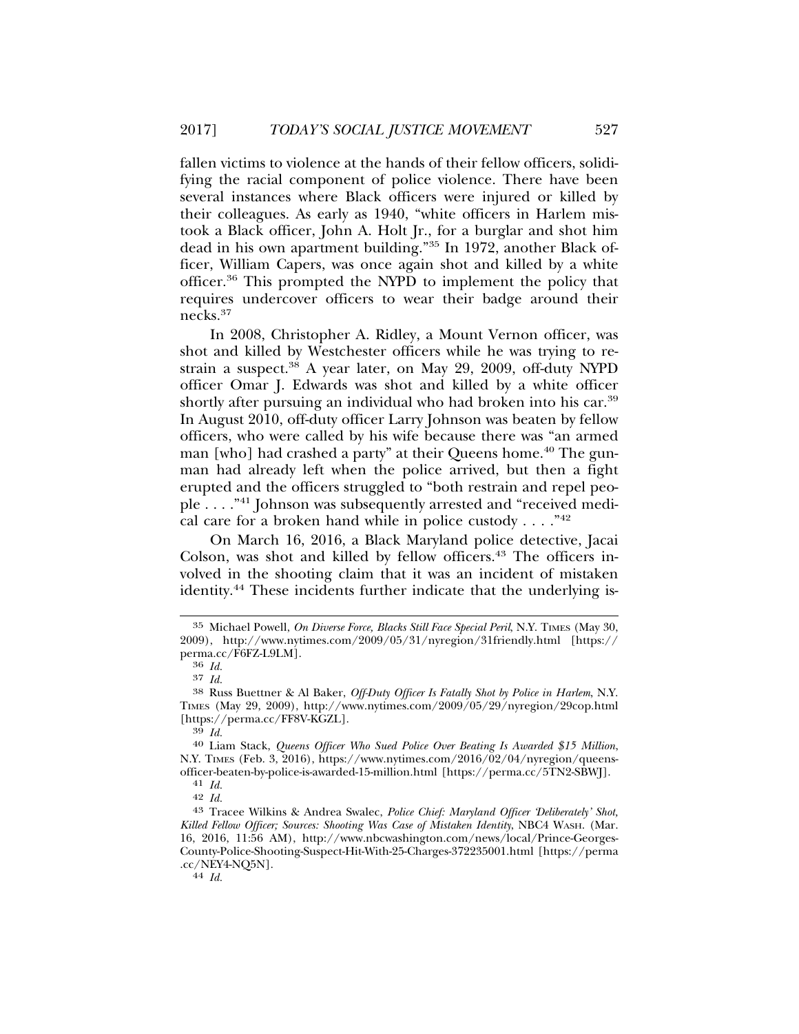fallen victims to violence at the hands of their fellow officers, solidifying the racial component of police violence. There have been several instances where Black officers were injured or killed by their colleagues. As early as 1940, "white officers in Harlem mistook a Black officer, John A. Holt Jr., for a burglar and shot him dead in his own apartment building."35 In 1972, another Black officer, William Capers, was once again shot and killed by a white officer.36 This prompted the NYPD to implement the policy that requires undercover officers to wear their badge around their necks.<sup>37</sup>

In 2008, Christopher A. Ridley, a Mount Vernon officer, was shot and killed by Westchester officers while he was trying to restrain a suspect. $38$  A year later, on May 29, 2009, off-duty NYPD officer Omar J. Edwards was shot and killed by a white officer shortly after pursuing an individual who had broken into his car.<sup>39</sup> In August 2010, off-duty officer Larry Johnson was beaten by fellow officers, who were called by his wife because there was "an armed man [who] had crashed a party" at their Queens home.<sup>40</sup> The gunman had already left when the police arrived, but then a fight erupted and the officers struggled to "both restrain and repel people . . . ."41 Johnson was subsequently arrested and "received medical care for a broken hand while in police custody  $\dots$ ."<sup>42</sup>

On March 16, 2016, a Black Maryland police detective, Jacai Colson, was shot and killed by fellow officers.<sup>43</sup> The officers involved in the shooting claim that it was an incident of mistaken identity.<sup>44</sup> These incidents further indicate that the underlying is-

<sup>35</sup> Michael Powell, *On Diverse Force, Blacks Still Face Special Peril*, N.Y. TIMES (May 30, 2009), http://www.nytimes.com/2009/05/31/nyregion/31friendly.html [https:// perma.cc/F6FZ-L9LM]. <sup>36</sup> *Id.*

<sup>37</sup> *Id.* <sup>38</sup> Russ Buettner & Al Baker, *Off-Duty Officer Is Fatally Shot by Police in Harlem*, N.Y. TIMES (May 29, 2009), http://www.nytimes.com/2009/05/29/nyregion/29cop.html [https://perma.cc/FF8V-KGZL]. <sup>39</sup> *Id.* <sup>40</sup> Liam Stack, *Queens Officer Who Sued Police Over Beating Is Awarded \$15 Million*,

N.Y. TIMES (Feb. 3, 2016), https://www.nytimes.com/2016/02/04/nyregion/queensofficer-beaten-by-police-is-awarded-15-million.html [https://perma.cc/5TN2-SBWJ]. <sup>41</sup> *Id.*

<sup>42</sup> *Id.* <sup>43</sup> Tracee Wilkins & Andrea Swalec, *Police Chief: Maryland Officer 'Deliberately' Shot, Killed Fellow Officer; Sources: Shooting Was Case of Mistaken Identity*, NBC4 WASH. (Mar. 16, 2016, 11:56 AM), http://www.nbcwashington.com/news/local/Prince-Georges-County-Police-Shooting-Suspect-Hit-With-25-Charges-372235001.html [https://perma .cc/NEY4-NQ5N]. <sup>44</sup> *Id.*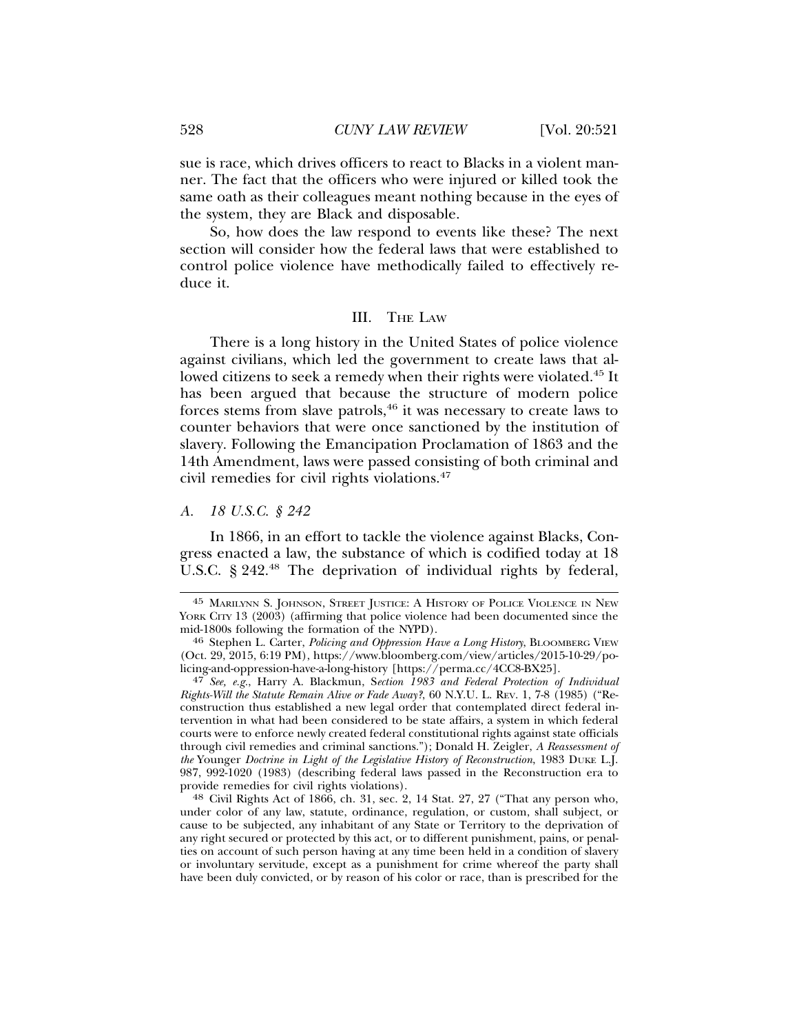sue is race, which drives officers to react to Blacks in a violent manner. The fact that the officers who were injured or killed took the same oath as their colleagues meant nothing because in the eyes of the system, they are Black and disposable.

So, how does the law respond to events like these? The next section will consider how the federal laws that were established to control police violence have methodically failed to effectively reduce it.

#### III. THE LAW

There is a long history in the United States of police violence against civilians, which led the government to create laws that allowed citizens to seek a remedy when their rights were violated.<sup>45</sup> It has been argued that because the structure of modern police forces stems from slave patrols, $46$  it was necessary to create laws to counter behaviors that were once sanctioned by the institution of slavery. Following the Emancipation Proclamation of 1863 and the 14th Amendment, laws were passed consisting of both criminal and civil remedies for civil rights violations.47

## *A. 18 U.S.C. § 242*

In 1866, in an effort to tackle the violence against Blacks, Congress enacted a law, the substance of which is codified today at 18 U.S.C. § 242.<sup>48</sup> The deprivation of individual rights by federal,

<sup>45</sup> MARILYNN S. JOHNSON, STREET JUSTICE: A HISTORY OF POLICE VIOLENCE IN NEW YORK CITY 13 (2003) (affirming that police violence had been documented since the mid-1800s following the formation of the NYPD). <sup>46</sup> Stephen L. Carter, *Policing and Oppression Have a Long History*, BLOOMBERG VIEW

<sup>(</sup>Oct. 29, 2015, 6:19 PM), https://www.bloomberg.com/view/articles/2015-10-29/policing-and-oppression-have-a-long-history [https://perma.cc/4CC8-BX25].

<sup>47</sup> *See, e.g.*, Harry A. Blackmun, S*ection 1983 and Federal Protection of Individual Rights-Will the Statute Remain Alive or Fade Away?*, 60 N.Y.U. L. REV. 1, 7-8 (1985) ("Reconstruction thus established a new legal order that contemplated direct federal intervention in what had been considered to be state affairs, a system in which federal courts were to enforce newly created federal constitutional rights against state officials through civil remedies and criminal sanctions."); Donald H. Zeigler, *A Reassessment of the* Younger *Doctrine in Light of the Legislative History of Reconstruction*, 1983 DUKE L.J. 987, 992-1020 (1983) (describing federal laws passed in the Reconstruction era to provide remedies for civil rights violations). <sup>48</sup> Civil Rights Act of 1866, ch. 31, sec. 2, 14 Stat. 27, 27 ("That any person who,

under color of any law, statute, ordinance, regulation, or custom, shall subject, or cause to be subjected, any inhabitant of any State or Territory to the deprivation of any right secured or protected by this act, or to different punishment, pains, or penalties on account of such person having at any time been held in a condition of slavery or involuntary servitude, except as a punishment for crime whereof the party shall have been duly convicted, or by reason of his color or race, than is prescribed for the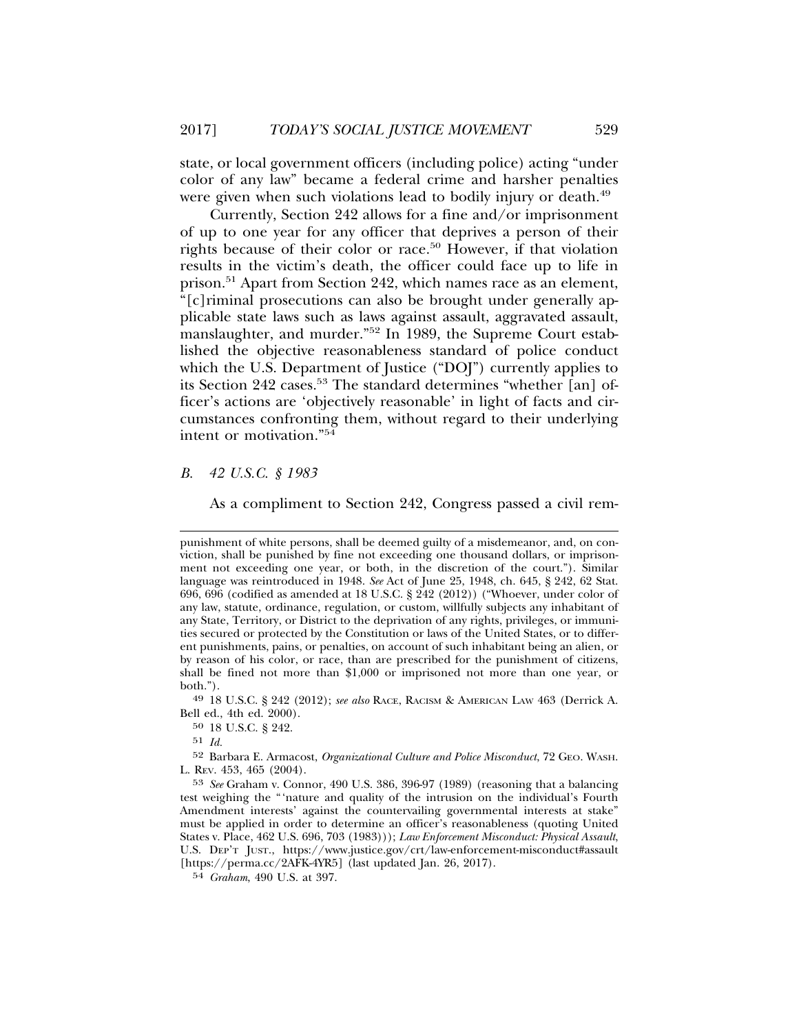state, or local government officers (including police) acting "under color of any law" became a federal crime and harsher penalties were given when such violations lead to bodily injury or death.<sup>49</sup>

Currently, Section 242 allows for a fine and/or imprisonment of up to one year for any officer that deprives a person of their rights because of their color or race.<sup>50</sup> However, if that violation results in the victim's death, the officer could face up to life in prison.51 Apart from Section 242, which names race as an element, "[c]riminal prosecutions can also be brought under generally applicable state laws such as laws against assault, aggravated assault, manslaughter, and murder."52 In 1989, the Supreme Court established the objective reasonableness standard of police conduct which the U.S. Department of Justice ("DOJ") currently applies to its Section 242 cases.<sup>53</sup> The standard determines "whether [an] officer's actions are 'objectively reasonable' in light of facts and circumstances confronting them, without regard to their underlying intent or motivation."54

*B. 42 U.S.C. § 1983*

As a compliment to Section 242, Congress passed a civil rem-

49 18 U.S.C. § 242 (2012); *see also* RACE, RACISM & AMERICAN LAW 463 (Derrick A. Bell ed., 4th ed. 2000).

51 *Id.*

52 Barbara E. Armacost, *Organizational Culture and Police Misconduct*, 72 GEO. WASH. L. REV. 453, 465 (2004).

53 *See* Graham v. Connor, 490 U.S. 386, 396-97 (1989) (reasoning that a balancing test weighing the "'nature and quality of the intrusion on the individual's Fourth Amendment interests' against the countervailing governmental interests at stake" must be applied in order to determine an officer's reasonableness (quoting United States v. Place, 462 U.S. 696, 703 (1983))); *Law Enforcement Misconduct: Physical Assault*, U.S. DEP'T JUST., https://www.justice.gov/crt/law-enforcement-misconduct#assault [https://perma.cc/2AFK-4YR5] (last updated Jan. 26, 2017).

54 *Graham*, 490 U.S. at 397.

punishment of white persons, shall be deemed guilty of a misdemeanor, and, on conviction, shall be punished by fine not exceeding one thousand dollars, or imprisonment not exceeding one year, or both, in the discretion of the court."). Similar language was reintroduced in 1948. *See* Act of June 25, 1948, ch. 645, § 242, 62 Stat. 696, 696 (codified as amended at 18 U.S.C. § 242 (2012)) ("Whoever, under color of any law, statute, ordinance, regulation, or custom, willfully subjects any inhabitant of any State, Territory, or District to the deprivation of any rights, privileges, or immunities secured or protected by the Constitution or laws of the United States, or to different punishments, pains, or penalties, on account of such inhabitant being an alien, or by reason of his color, or race, than are prescribed for the punishment of citizens, shall be fined not more than \$1,000 or imprisoned not more than one year, or both.").

<sup>50</sup> 18 U.S.C. § 242.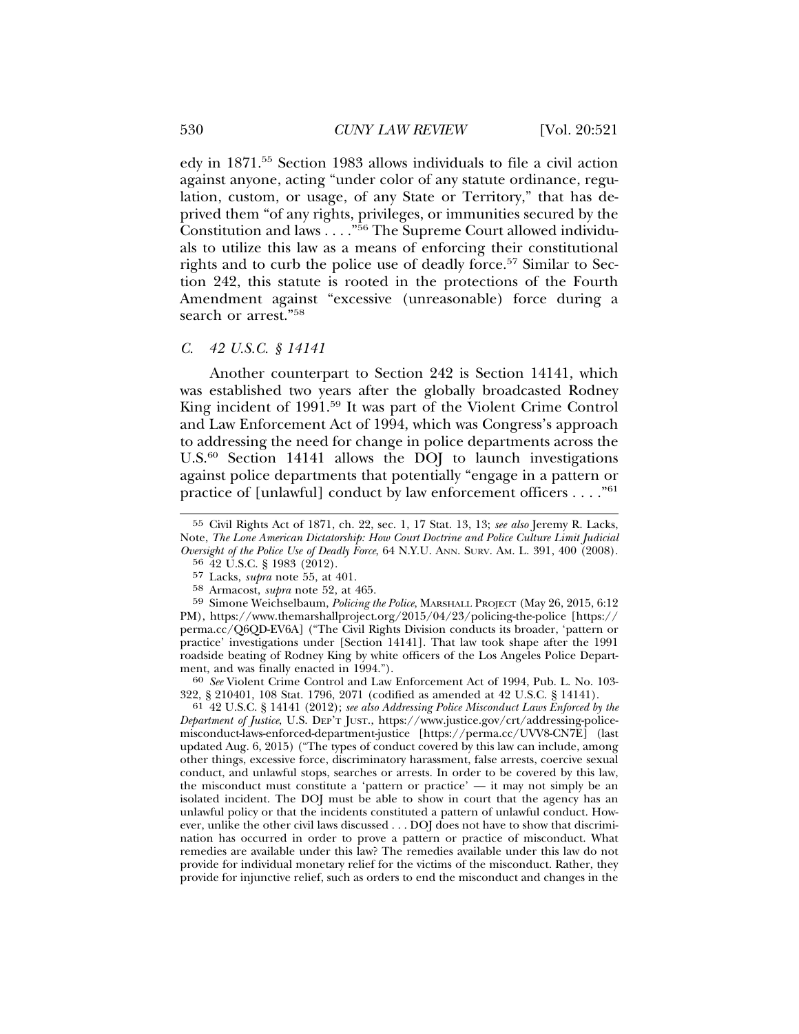edy in 1871.55 Section 1983 allows individuals to file a civil action against anyone, acting "under color of any statute ordinance, regulation, custom, or usage, of any State or Territory," that has deprived them "of any rights, privileges, or immunities secured by the Constitution and laws . . . ."56 The Supreme Court allowed individuals to utilize this law as a means of enforcing their constitutional rights and to curb the police use of deadly force.<sup>57</sup> Similar to Section 242, this statute is rooted in the protections of the Fourth Amendment against "excessive (unreasonable) force during a search or arrest."<sup>58</sup>

#### *C. 42 U.S.C. § 14141*

Another counterpart to Section 242 is Section 14141, which was established two years after the globally broadcasted Rodney King incident of 1991.<sup>59</sup> It was part of the Violent Crime Control and Law Enforcement Act of 1994, which was Congress's approach to addressing the need for change in police departments across the U.S. $60$  Section 14141 allows the DOJ to launch investigations against police departments that potentially "engage in a pattern or practice of [unlawful] conduct by law enforcement officers . . . ."61

59 Simone Weichselbaum, *Policing the Police*, MARSHALL PROJECT (May 26, 2015, 6:12 PM), https://www.themarshallproject.org/2015/04/23/policing-the-police [https:// perma.cc/Q6QD-EV6A] ("The Civil Rights Division conducts its broader, 'pattern or practice' investigations under [Section 14141]. That law took shape after the 1991 roadside beating of Rodney King by white officers of the Los Angeles Police Department, and was finally enacted in 1994.").<br><sup>60</sup> *See* Violent Crime Control and Law Enforcement Act of 1994, Pub. L. No. 103-

322, § 210401, 108 Stat. 1796, 2071 (codified as amended at 42 U.S.C. § 14141).

61 42 U.S.C. § 14141 (2012); *see also Addressing Police Misconduct Laws Enforced by the Department of Justice*, U.S. DEP'T JUST., https://www.justice.gov/crt/addressing-policemisconduct-laws-enforced-department-justice [https://perma.cc/UVV8-CN7E] (last updated Aug. 6, 2015) ("The types of conduct covered by this law can include, among other things, excessive force, discriminatory harassment, false arrests, coercive sexual conduct, and unlawful stops, searches or arrests. In order to be covered by this law, the misconduct must constitute a 'pattern or practice' — it may not simply be an isolated incident. The DOJ must be able to show in court that the agency has an unlawful policy or that the incidents constituted a pattern of unlawful conduct. However, unlike the other civil laws discussed . . . DOJ does not have to show that discrimination has occurred in order to prove a pattern or practice of misconduct. What remedies are available under this law? The remedies available under this law do not provide for individual monetary relief for the victims of the misconduct. Rather, they provide for injunctive relief, such as orders to end the misconduct and changes in the

<sup>55</sup> Civil Rights Act of 1871, ch. 22, sec. 1, 17 Stat. 13, 13; *see also* Jeremy R. Lacks, Note, *The Lone American Dictatorship: How Court Doctrine and Police Culture Limit Judicial Oversight of the Police Use of Deadly Force*, 64 N.Y.U. ANN. SURV. AM. L. 391, 400 (2008).

<sup>56</sup> 42 U.S.C. § 1983 (2012).

<sup>57</sup> Lacks, *supra* note 55, at 401.

<sup>58</sup> Armacost, *supra* note 52, at 465.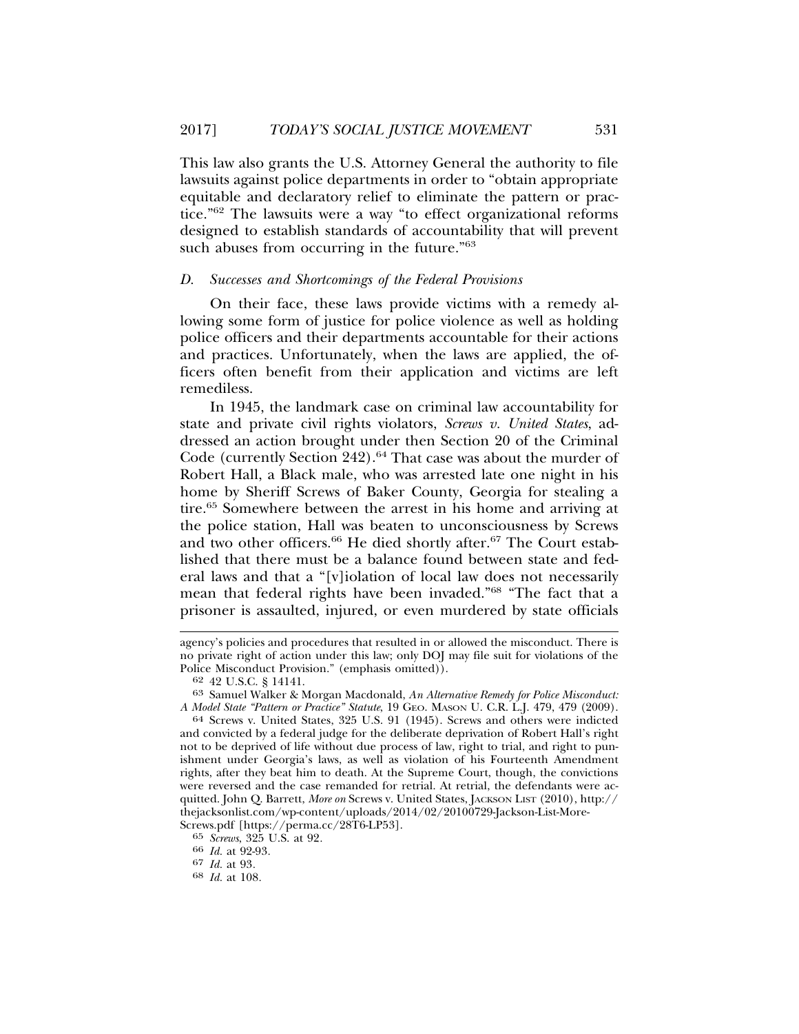This law also grants the U.S. Attorney General the authority to file lawsuits against police departments in order to "obtain appropriate equitable and declaratory relief to eliminate the pattern or practice."62 The lawsuits were a way "to effect organizational reforms designed to establish standards of accountability that will prevent such abuses from occurring in the future."<sup>63</sup>

### *D. Successes and Shortcomings of the Federal Provisions*

On their face, these laws provide victims with a remedy allowing some form of justice for police violence as well as holding police officers and their departments accountable for their actions and practices. Unfortunately, when the laws are applied, the officers often benefit from their application and victims are left remediless.

In 1945, the landmark case on criminal law accountability for state and private civil rights violators, *Screws v. United States*, addressed an action brought under then Section 20 of the Criminal Code (currently Section 242).<sup>64</sup> That case was about the murder of Robert Hall, a Black male, who was arrested late one night in his home by Sheriff Screws of Baker County, Georgia for stealing a tire.<sup>65</sup> Somewhere between the arrest in his home and arriving at the police station, Hall was beaten to unconsciousness by Screws and two other officers.<sup>66</sup> He died shortly after.<sup>67</sup> The Court established that there must be a balance found between state and federal laws and that a "[v]iolation of local law does not necessarily mean that federal rights have been invaded."68 "The fact that a prisoner is assaulted, injured, or even murdered by state officials

agency's policies and procedures that resulted in or allowed the misconduct. There is no private right of action under this law; only DOJ may file suit for violations of the Police Misconduct Provision." (emphasis omitted)).  $62$  42 U.S.C. § 14141.

<sup>63</sup> Samuel Walker & Morgan Macdonald, *An Alternative Remedy for Police Misconduct: A Model State "Pattern or Practice" Statute*, 19 GEO. MASON U. C.R. L.J. 479, 479 (2009). <sup>64</sup> Screws v. United States, 325 U.S. 91 (1945). Screws and others were indicted

and convicted by a federal judge for the deliberate deprivation of Robert Hall's right not to be deprived of life without due process of law, right to trial, and right to punishment under Georgia's laws, as well as violation of his Fourteenth Amendment rights, after they beat him to death. At the Supreme Court, though, the convictions were reversed and the case remanded for retrial. At retrial, the defendants were acquitted. John Q. Barrett, *More on* Screws v. United States, JACKSON LIST (2010), http:// thejacksonlist.com/wp-content/uploads/2014/02/20100729-Jackson-List-More-

Screws.pdf [https://perma.cc/28T6-LP53].

<sup>65</sup> *Screws*, 325 U.S. at 92*.* <sup>66</sup> *Id.* at 92-93*.* <sup>67</sup> *Id.* at 93*.* <sup>68</sup> *Id.* at 108*.*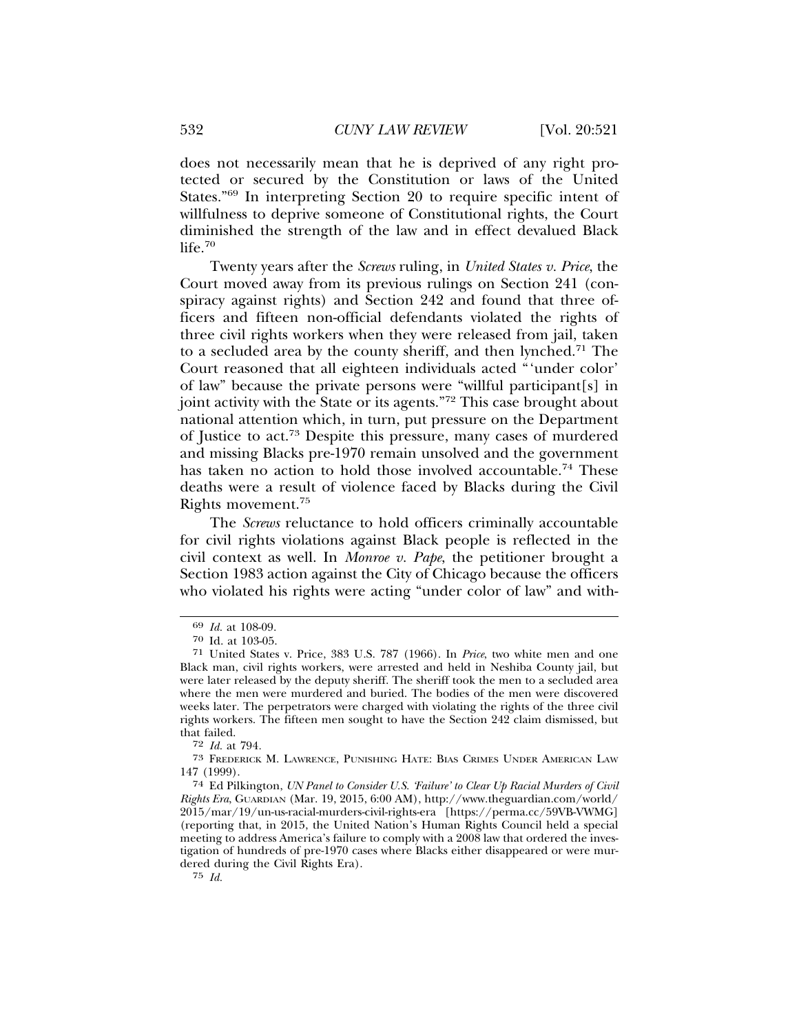does not necessarily mean that he is deprived of any right protected or secured by the Constitution or laws of the United States."69 In interpreting Section 20 to require specific intent of willfulness to deprive someone of Constitutional rights, the Court diminished the strength of the law and in effect devalued Black  $life.70$ 

Twenty years after the *Screws* ruling, in *United States v. Price*, the Court moved away from its previous rulings on Section 241 (conspiracy against rights) and Section 242 and found that three officers and fifteen non-official defendants violated the rights of three civil rights workers when they were released from jail, taken to a secluded area by the county sheriff, and then lynched.<sup>71</sup> The Court reasoned that all eighteen individuals acted "'under color' of law" because the private persons were "willful participant[s] in joint activity with the State or its agents."72 This case brought about national attention which, in turn, put pressure on the Department of Justice to act.73 Despite this pressure, many cases of murdered and missing Blacks pre-1970 remain unsolved and the government has taken no action to hold those involved accountable.<sup>74</sup> These deaths were a result of violence faced by Blacks during the Civil Rights movement.75

The *Screws* reluctance to hold officers criminally accountable for civil rights violations against Black people is reflected in the civil context as well. In *Monroe v. Pape*, the petitioner brought a Section 1983 action against the City of Chicago because the officers who violated his rights were acting "under color of law" and with-

75 *Id.*

<sup>69</sup> *Id.* at 108-09.

<sup>70</sup> Id. at 103-05.

<sup>71</sup> United States v. Price, 383 U.S. 787 (1966). In *Price*, two white men and one Black man, civil rights workers, were arrested and held in Neshiba County jail, but were later released by the deputy sheriff. The sheriff took the men to a secluded area where the men were murdered and buried. The bodies of the men were discovered weeks later. The perpetrators were charged with violating the rights of the three civil rights workers. The fifteen men sought to have the Section 242 claim dismissed, but that failed.<br> $\frac{72 \text{ Id. at } 794.}{400}$ 

<sup>72</sup> *Id.* at 794*.* <sup>73</sup> FREDERICK M. LAWRENCE, PUNISHING HATE: BIAS CRIMES UNDER AMERICAN LAW 147 (1999).

<sup>74</sup> Ed Pilkington, *UN Panel to Consider U.S. 'Failure' to Clear Up Racial Murders of Civil Rights Era*, GUARDIAN (Mar. 19, 2015, 6:00 AM), http://www.theguardian.com/world/ 2015/mar/19/un-us-racial-murders-civil-rights-era [https://perma.cc/59VB-VWMG] (reporting that, in 2015, the United Nation's Human Rights Council held a special meeting to address America's failure to comply with a 2008 law that ordered the investigation of hundreds of pre-1970 cases where Blacks either disappeared or were murdered during the Civil Rights Era).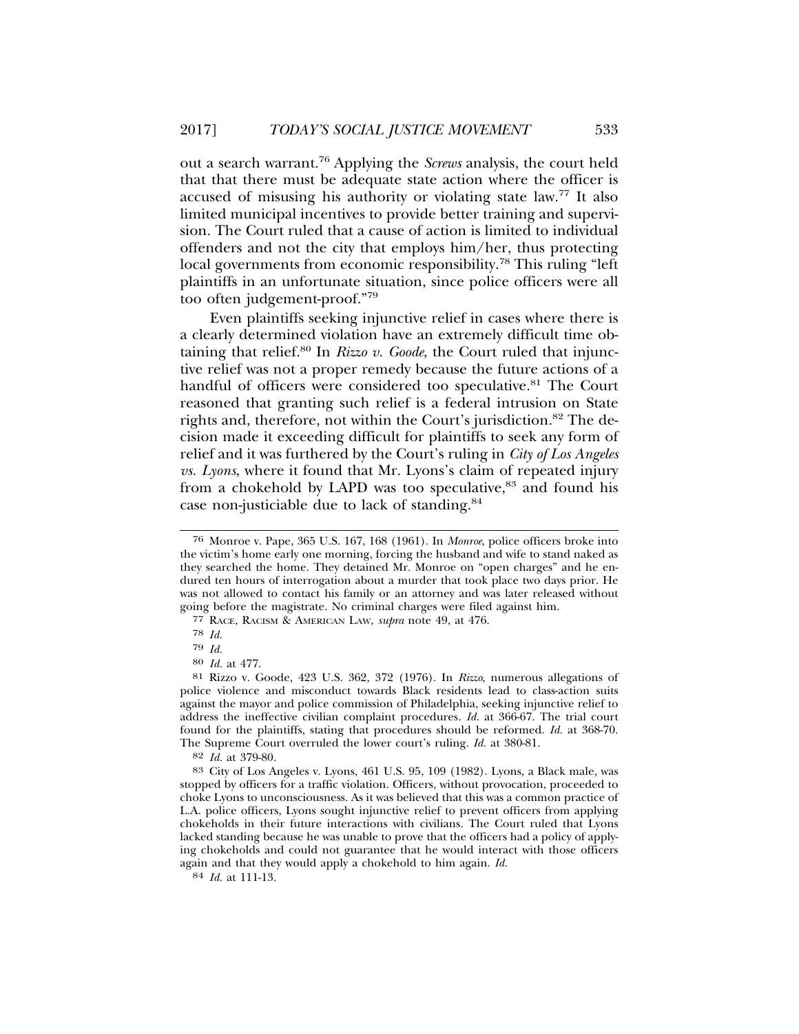out a search warrant.76 Applying the *Screws* analysis, the court held that that there must be adequate state action where the officer is accused of misusing his authority or violating state law.77 It also limited municipal incentives to provide better training and supervision. The Court ruled that a cause of action is limited to individual offenders and not the city that employs him/her, thus protecting local governments from economic responsibility.<sup>78</sup> This ruling "left" plaintiffs in an unfortunate situation, since police officers were all too often judgement-proof."<sup>79</sup>

Even plaintiffs seeking injunctive relief in cases where there is a clearly determined violation have an extremely difficult time obtaining that relief.<sup>80</sup> In *Rizzo v. Goode*, the Court ruled that injunctive relief was not a proper remedy because the future actions of a handful of officers were considered too speculative.<sup>81</sup> The Court reasoned that granting such relief is a federal intrusion on State rights and, therefore, not within the Court's jurisdiction.<sup>82</sup> The decision made it exceeding difficult for plaintiffs to seek any form of relief and it was furthered by the Court's ruling in *City of Los Angeles vs. Lyons*, where it found that Mr. Lyons's claim of repeated injury from a chokehold by LAPD was too speculative, $83$  and found his case non-justiciable due to lack of standing.84

84 *Id.* at 111-13.

<sup>76</sup> Monroe v. Pape, 365 U.S. 167, 168 (1961). In *Monroe*, police officers broke into the victim's home early one morning, forcing the husband and wife to stand naked as they searched the home. They detained Mr. Monroe on "open charges" and he endured ten hours of interrogation about a murder that took place two days prior. He was not allowed to contact his family or an attorney and was later released without going before the magistrate. No criminal charges were filed against him.

<sup>77</sup> RACE, RACISM & AMERICAN LAW, *supra* note 49, at 476.

<sup>78</sup> *Id.*

<sup>79</sup> *Id.*

<sup>80</sup> *Id.* at 477.

<sup>81</sup> Rizzo v. Goode, 423 U.S. 362, 372 (1976). In *Rizzo*, numerous allegations of police violence and misconduct towards Black residents lead to class-action suits against the mayor and police commission of Philadelphia, seeking injunctive relief to address the ineffective civilian complaint procedures*. Id.* at 366-67. The trial court found for the plaintiffs, stating that procedures should be reformed. *Id.* at 368-70. The Supreme Court overruled the lower court's ruling*. Id.* at 380-81.

<sup>82</sup> *Id.* at 379-80.

<sup>83</sup> City of Los Angeles v. Lyons, 461 U.S. 95, 109 (1982). Lyons, a Black male, was stopped by officers for a traffic violation. Officers, without provocation, proceeded to choke Lyons to unconsciousness. As it was believed that this was a common practice of L.A. police officers, Lyons sought injunctive relief to prevent officers from applying chokeholds in their future interactions with civilians. The Court ruled that Lyons lacked standing because he was unable to prove that the officers had a policy of applying chokeholds and could not guarantee that he would interact with those officers again and that they would apply a chokehold to him again. *Id.*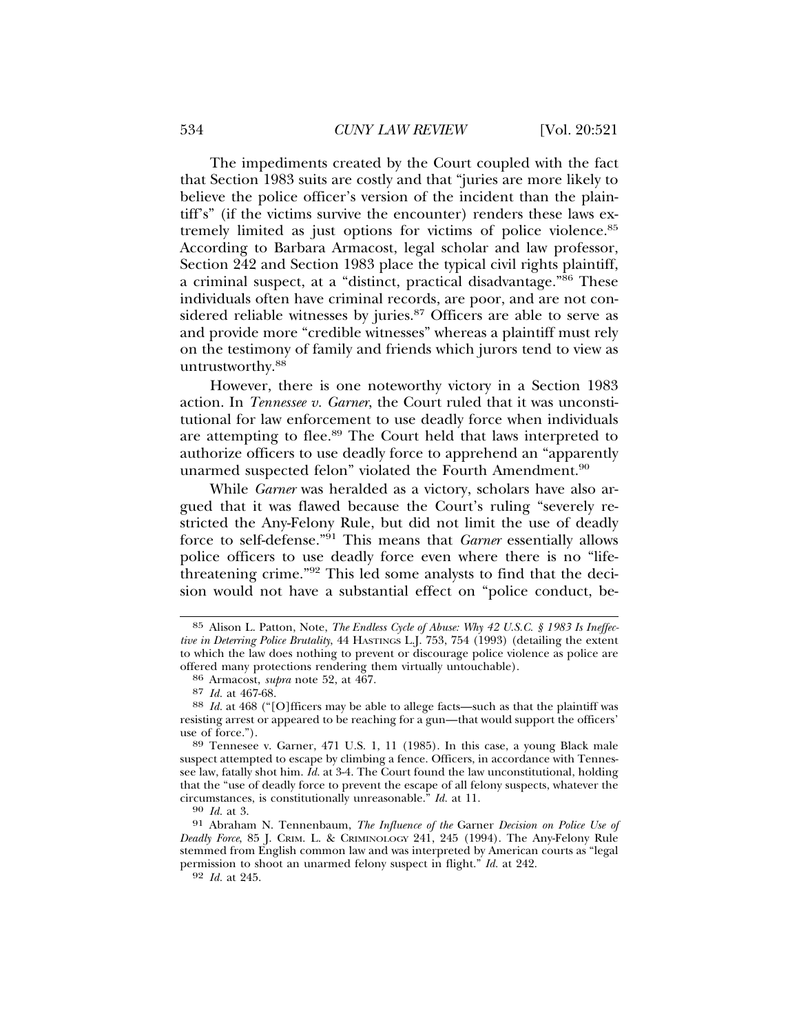The impediments created by the Court coupled with the fact that Section 1983 suits are costly and that "juries are more likely to believe the police officer's version of the incident than the plaintiff's" (if the victims survive the encounter) renders these laws extremely limited as just options for victims of police violence.85 According to Barbara Armacost, legal scholar and law professor, Section 242 and Section 1983 place the typical civil rights plaintiff, a criminal suspect, at a "distinct, practical disadvantage."86 These individuals often have criminal records, are poor, and are not considered reliable witnesses by juries.<sup>87</sup> Officers are able to serve as and provide more "credible witnesses" whereas a plaintiff must rely on the testimony of family and friends which jurors tend to view as untrustworthy.<sup>88</sup>

However, there is one noteworthy victory in a Section 1983 action. In *Tennessee v. Garner*, the Court ruled that it was unconstitutional for law enforcement to use deadly force when individuals are attempting to flee.<sup>89</sup> The Court held that laws interpreted to authorize officers to use deadly force to apprehend an "apparently unarmed suspected felon" violated the Fourth Amendment.<sup>90</sup>

While *Garner* was heralded as a victory, scholars have also argued that it was flawed because the Court's ruling "severely restricted the Any-Felony Rule, but did not limit the use of deadly force to self-defense."91 This means that *Garner* essentially allows police officers to use deadly force even where there is no "lifethreatening crime."92 This led some analysts to find that the decision would not have a substantial effect on "police conduct, be-

92 *Id.* at 245.

<sup>85</sup> Alison L. Patton, Note, *The Endless Cycle of Abuse: Why 42 U.S.C. § 1983 Is Ineffective in Deterring Police Brutality*, 44 HASTINGS L.J. 753, 754 (1993) (detailing the extent to which the law does nothing to prevent or discourage police violence as police are offered many protections rendering them virtually untouchable).

<sup>86</sup> Armacost, *supra* note 52, at 467.

<sup>87</sup> *Id.* at 467-68.<br>88 *Id.* at 468 ("[O]fficers may be able to allege facts—such as that the plaintiff was resisting arrest or appeared to be reaching for a gun—that would support the officers' use of force."). <sup>89</sup> Tennesee v. Garner, 471 U.S. 1, 11 (1985). In this case, a young Black male

suspect attempted to escape by climbing a fence. Officers, in accordance with Tennessee law, fatally shot him. *Id.* at 3-4. The Court found the law unconstitutional, holding that the "use of deadly force to prevent the escape of all felony suspects, whatever the circumstances, is constitutionally unreasonable." *Id.* at 11. <sup>90</sup> *Id.* at 3.

<sup>91</sup> Abraham N. Tennenbaum, *The Influence of the* Garner *Decision on Police Use of Deadly Force*, 85 J. CRIM. L. & CRIMINOLOGY 241, 245 (1994). The Any-Felony Rule stemmed from English common law and was interpreted by American courts as "legal permission to shoot an unarmed felony suspect in flight." *Id.* at 242.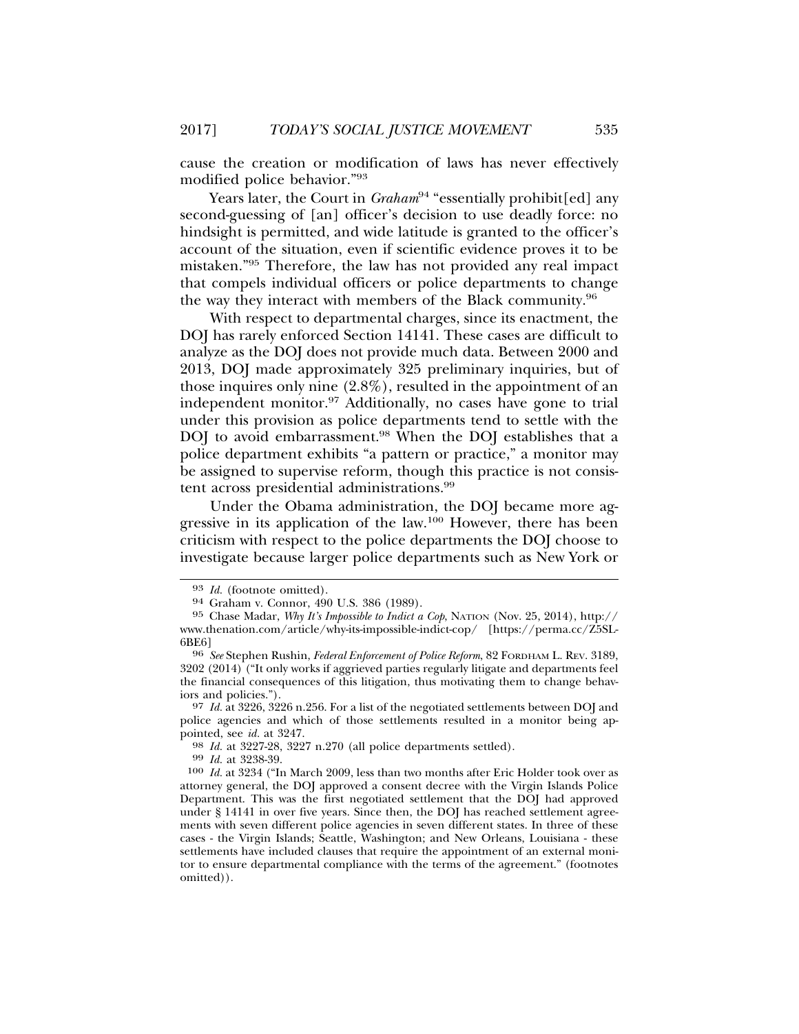cause the creation or modification of laws has never effectively modified police behavior."93

Years later, the Court in *Graham*<sup>94</sup> "essentially prohibit[ed] any second-guessing of [an] officer's decision to use deadly force: no hindsight is permitted, and wide latitude is granted to the officer's account of the situation, even if scientific evidence proves it to be mistaken."95 Therefore, the law has not provided any real impact that compels individual officers or police departments to change the way they interact with members of the Black community.96

With respect to departmental charges, since its enactment, the DOJ has rarely enforced Section 14141. These cases are difficult to analyze as the DOJ does not provide much data. Between 2000 and 2013, DOJ made approximately 325 preliminary inquiries, but of those inquires only nine (2.8%), resulted in the appointment of an independent monitor.<sup>97</sup> Additionally, no cases have gone to trial under this provision as police departments tend to settle with the DOJ to avoid embarrassment.<sup>98</sup> When the DOJ establishes that a police department exhibits "a pattern or practice," a monitor may be assigned to supervise reform, though this practice is not consistent across presidential administrations.99

Under the Obama administration, the DOJ became more aggressive in its application of the law.100 However, there has been criticism with respect to the police departments the DOJ choose to investigate because larger police departments such as New York or

<sup>93</sup> *Id.* (footnote omitted). <sup>94</sup> Graham v. Connor, 490 U.S. 386 (1989).

<sup>95</sup> Chase Madar, *Why It's Impossible to Indict a Cop*, NATION (Nov. 25, 2014), http:// www.thenation.com/article/why-its-impossible-indict-cop/ [https://perma.cc/Z5SL-6BE6] <sup>96</sup> *See* Stephen Rushin, *Federal Enforcement of Police Reform*, 82 FORDHAM L. REV. 3189,

<sup>3202 (2014) (&</sup>quot;It only works if aggrieved parties regularly litigate and departments feel the financial consequences of this litigation, thus motivating them to change behaviors and policies.").

<sup>97</sup> *Id.* at 3226, 3226 n.256. For a list of the negotiated settlements between DOJ and police agencies and which of those settlements resulted in a monitor being appointed, see *id.* at 3247. <sup>98</sup> *Id.* at 3227-28, 3227 n.270 (all police departments settled). <sup>99</sup> *Id.* at 3238-39.

<sup>100</sup> *Id.* at 3234 ("In March 2009, less than two months after Eric Holder took over as attorney general, the DOJ approved a consent decree with the Virgin Islands Police Department. This was the first negotiated settlement that the DOJ had approved under § 14141 in over five years. Since then, the DOJ has reached settlement agreements with seven different police agencies in seven different states. In three of these cases - the Virgin Islands; Seattle, Washington; and New Orleans, Louisiana - these settlements have included clauses that require the appointment of an external monitor to ensure departmental compliance with the terms of the agreement." (footnotes omitted)).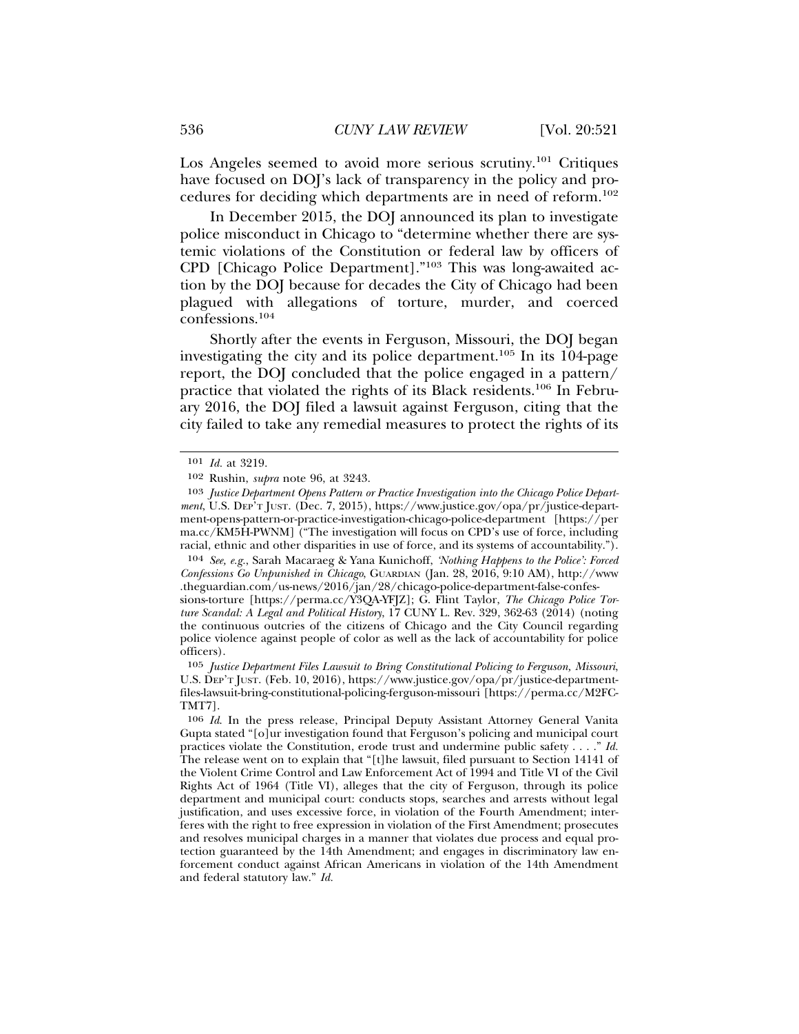Los Angeles seemed to avoid more serious scrutiny.<sup>101</sup> Critiques have focused on DOJ's lack of transparency in the policy and procedures for deciding which departments are in need of reform.102

In December 2015, the DOJ announced its plan to investigate police misconduct in Chicago to "determine whether there are systemic violations of the Constitution or federal law by officers of CPD [Chicago Police Department]."103 This was long-awaited action by the DOJ because for decades the City of Chicago had been plagued with allegations of torture, murder, and coerced confessions.104

Shortly after the events in Ferguson, Missouri, the DOJ began investigating the city and its police department.<sup>105</sup> In its 104-page report, the DOJ concluded that the police engaged in a pattern/ practice that violated the rights of its Black residents.106 In February 2016, the DOJ filed a lawsuit against Ferguson, citing that the city failed to take any remedial measures to protect the rights of its

104 *See, e.g.*, Sarah Macaraeg & Yana Kunichoff, *'Nothing Happens to the Police': Forced Confessions Go Unpunished in Chicago*, GUARDIAN (Jan. 28, 2016, 9:10 AM), http://www .theguardian.com/us-news/2016/jan/28/chicago-police-department-false-confes-

<sup>101</sup> *Id.* at 3219.

<sup>102</sup> Rushin, *supra* note 96, at 3243.

<sup>103</sup> *Justice Department Opens Pattern or Practice Investigation into the Chicago Police Department*, U.S. DEP'T JUST. (Dec. 7, 2015), https://www.justice.gov/opa/pr/justice-department-opens-pattern-or-practice-investigation-chicago-police-department [https://per ma.cc/KM5H-PWNM] ("The investigation will focus on CPD's use of force, including racial, ethnic and other disparities in use of force, and its systems of accountability.").

sions-torture [https://perma.cc/Y3QA-YFJZ]; G. Flint Taylor, *The Chicago Police Torture Scandal: A Legal and Political History*, 17 CUNY L. Rev. 329, 362-63 (2014) (noting the continuous outcries of the citizens of Chicago and the City Council regarding police violence against people of color as well as the lack of accountability for police officers).

<sup>105</sup> *Justice Department Files Lawsuit to Bring Constitutional Policing to Ferguson, Missouri*, U.S. DEP'T JUST. (Feb. 10, 2016), https://www.justice.gov/opa/pr/justice-departmentfiles-lawsuit-bring-constitutional-policing-ferguson-missouri [https://perma.cc/M2FC-TMT7].

<sup>106</sup> *Id*. In the press release, Principal Deputy Assistant Attorney General Vanita Gupta stated "[o]ur investigation found that Ferguson's policing and municipal court practices violate the Constitution, erode trust and undermine public safety . . . ." *Id.* The release went on to explain that "[t]he lawsuit, filed pursuant to Section 14141 of the Violent Crime Control and Law Enforcement Act of 1994 and Title VI of the Civil Rights Act of 1964 (Title VI), alleges that the city of Ferguson, through its police department and municipal court: conducts stops, searches and arrests without legal justification, and uses excessive force, in violation of the Fourth Amendment; interferes with the right to free expression in violation of the First Amendment; prosecutes and resolves municipal charges in a manner that violates due process and equal protection guaranteed by the 14th Amendment; and engages in discriminatory law enforcement conduct against African Americans in violation of the 14th Amendment and federal statutory law." *Id.*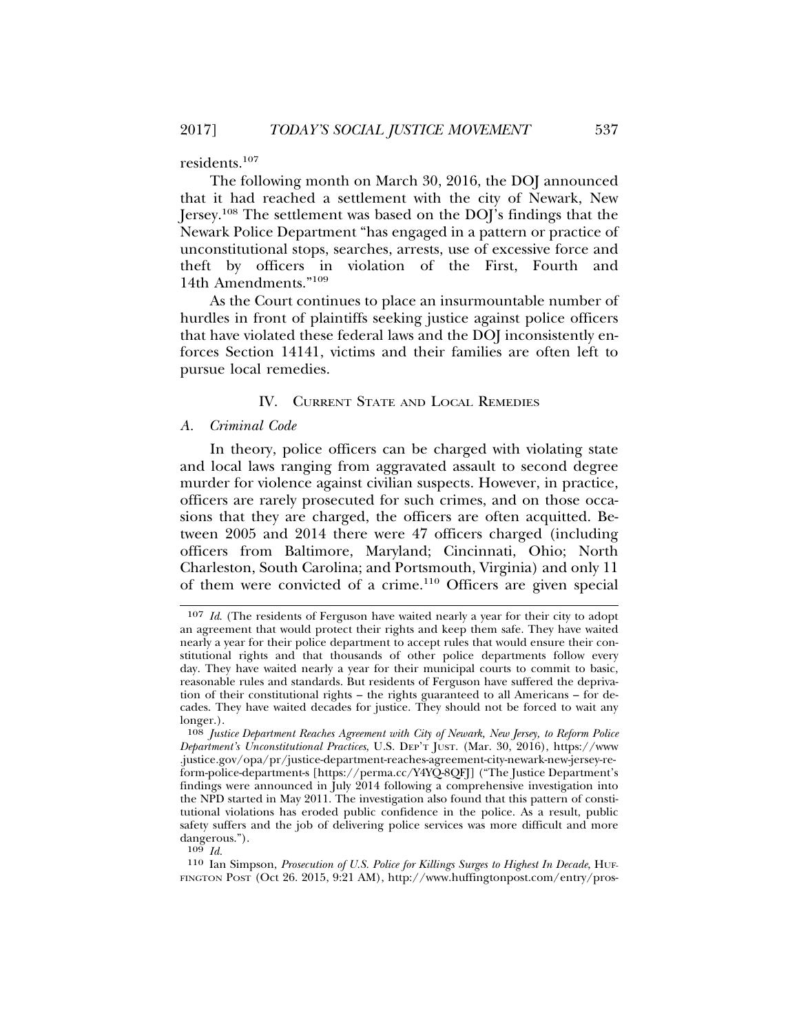residents.107

The following month on March 30, 2016, the DOJ announced that it had reached a settlement with the city of Newark, New Jersey.108 The settlement was based on the DOJ's findings that the Newark Police Department "has engaged in a pattern or practice of unconstitutional stops, searches, arrests, use of excessive force and theft by officers in violation of the First, Fourth and 14th Amendments."109

As the Court continues to place an insurmountable number of hurdles in front of plaintiffs seeking justice against police officers that have violated these federal laws and the DOJ inconsistently enforces Section 14141, victims and their families are often left to pursue local remedies.

## IV. CURRENT STATE AND LOCAL REMEDIES

## *A. Criminal Code*

In theory, police officers can be charged with violating state and local laws ranging from aggravated assault to second degree murder for violence against civilian suspects. However, in practice, officers are rarely prosecuted for such crimes, and on those occasions that they are charged, the officers are often acquitted. Between 2005 and 2014 there were 47 officers charged (including officers from Baltimore, Maryland; Cincinnati, Ohio; North Charleston, South Carolina; and Portsmouth, Virginia) and only 11 of them were convicted of a crime.110 Officers are given special

<sup>107</sup> *Id*. (The residents of Ferguson have waited nearly a year for their city to adopt an agreement that would protect their rights and keep them safe. They have waited nearly a year for their police department to accept rules that would ensure their constitutional rights and that thousands of other police departments follow every day. They have waited nearly a year for their municipal courts to commit to basic, reasonable rules and standards. But residents of Ferguson have suffered the deprivation of their constitutional rights – the rights guaranteed to all Americans – for decades. They have waited decades for justice. They should not be forced to wait any longer.).

<sup>108</sup> *Justice Department Reaches Agreement with City of Newark, New Jersey, to Reform Police Department's Unconstitutional Practices*, U.S. DEP'T JUST. (Mar. 30, 2016), https://www .justice.gov/opa/pr/justice-department-reaches-agreement-city-newark-new-jersey-reform-police-department-s [https://perma.cc/Y4YQ-8QFJ] ("The Justice Department's findings were announced in July 2014 following a comprehensive investigation into the NPD started in May 2011. The investigation also found that this pattern of constitutional violations has eroded public confidence in the police. As a result, public safety suffers and the job of delivering police services was more difficult and more dangerous.").

<sup>109</sup> *Id.*

<sup>110</sup> Ian Simpson, *Prosecution of U.S. Police for Killings Surges to Highest In Decade*, HUF-FINGTON POST (Oct 26. 2015, 9:21 AM), http://www.huffingtonpost.com/entry/pros-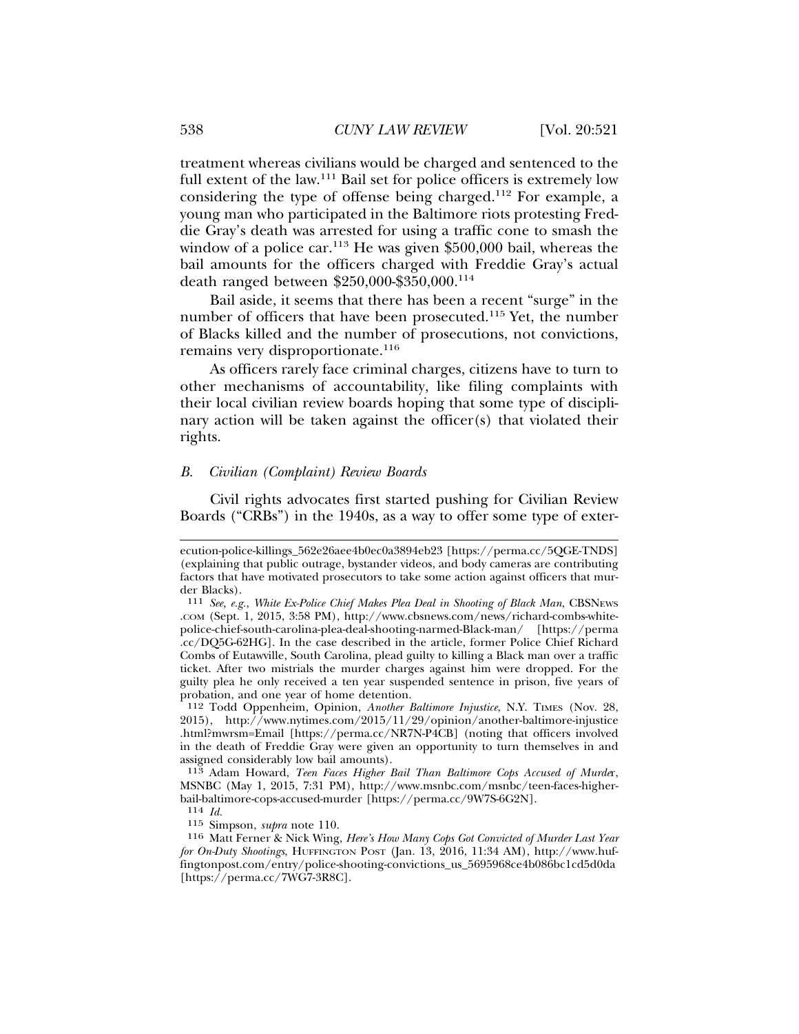treatment whereas civilians would be charged and sentenced to the full extent of the law.<sup>111</sup> Bail set for police officers is extremely low considering the type of offense being charged.112 For example, a young man who participated in the Baltimore riots protesting Freddie Gray's death was arrested for using a traffic cone to smash the window of a police car.<sup>113</sup> He was given \$500,000 bail, whereas the bail amounts for the officers charged with Freddie Gray's actual death ranged between \$250,000-\$350,000.114

Bail aside, it seems that there has been a recent "surge" in the number of officers that have been prosecuted.115 Yet, the number of Blacks killed and the number of prosecutions, not convictions, remains very disproportionate.<sup>116</sup>

As officers rarely face criminal charges, citizens have to turn to other mechanisms of accountability, like filing complaints with their local civilian review boards hoping that some type of disciplinary action will be taken against the officer(s) that violated their rights.

#### *B. Civilian (Complaint) Review Boards*

Civil rights advocates first started pushing for Civilian Review Boards ("CRBs") in the 1940s, as a way to offer some type of exter-

ecution-police-killings\_562e26aee4b0ec0a3894eb23 [https://perma.cc/5QGE-TNDS] (explaining that public outrage, bystander videos, and body cameras are contributing factors that have motivated prosecutors to take some action against officers that murder Blacks).

<sup>111</sup> *See, e.g.*, *White Ex-Police Chief Makes Plea Deal in Shooting of Black Man*, CBSNEWS .COM (Sept. 1, 2015, 3:58 PM), http://www.cbsnews.com/news/richard-combs-whitepolice-chief-south-carolina-plea-deal-shooting-narmed-Black-man/ [https://perma .cc/DQ5G-62HG]. In the case described in the article, former Police Chief Richard Combs of Eutawville, South Carolina, plead guilty to killing a Black man over a traffic ticket. After two mistrials the murder charges against him were dropped. For the guilty plea he only received a ten year suspended sentence in prison, five years of probation, and one year of home detention.

<sup>112</sup> Todd Oppenheim, Opinion, *Another Baltimore Injustice*, N.Y. TIMES (Nov. 28, 2015), http://www.nytimes.com/2015/11/29/opinion/another-baltimore-injustice .html?mwrsm=Email [https://perma.cc/NR7N-P4CB] (noting that officers involved in the death of Freddie Gray were given an opportunity to turn themselves in and assigned considerably low bail amounts).

<sup>113</sup> Adam Howard, *Teen Faces Higher Bail Than Baltimore Cops Accused of Murde*r, MSNBC (May 1, 2015, 7:31 PM), http://www.msnbc.com/msnbc/teen-faces-higherbail-baltimore-cops-accused-murder [https://perma.cc/9W7S-6G2N].

<sup>114</sup> *Id.*

<sup>115</sup> Simpson, *supra* note 110.

<sup>116</sup> Matt Ferner & Nick Wing, *Here's How Many Cops Got Convicted of Murder Last Year for On-Duty Shootings*, HUFFINGTON POST (Jan. 13, 2016, 11:34 AM), http://www.huffingtonpost.com/entry/police-shooting-convictions\_us\_5695968ce4b086bc1cd5d0da [https://perma.cc/7WG7-3R8C].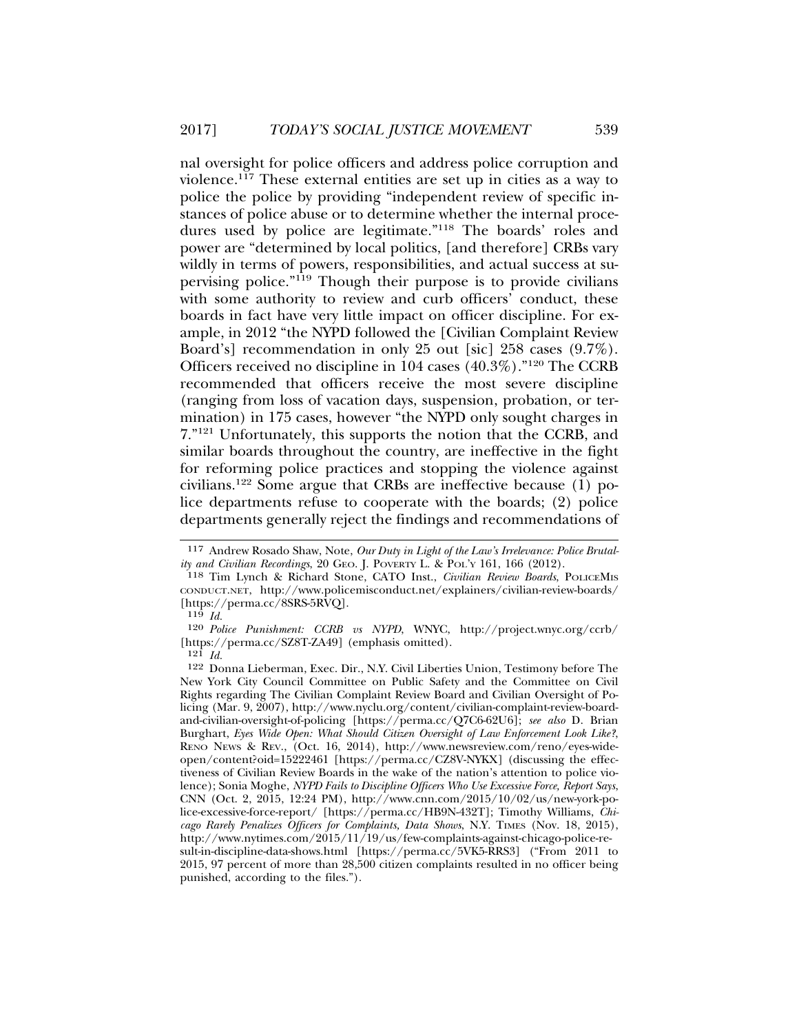nal oversight for police officers and address police corruption and violence.<sup>117</sup> These external entities are set up in cities as a way to police the police by providing "independent review of specific instances of police abuse or to determine whether the internal procedures used by police are legitimate."118 The boards' roles and power are "determined by local politics, [and therefore] CRBs vary wildly in terms of powers, responsibilities, and actual success at supervising police."119 Though their purpose is to provide civilians with some authority to review and curb officers<sup>5</sup> conduct, these boards in fact have very little impact on officer discipline. For example, in 2012 "the NYPD followed the [Civilian Complaint Review Board's] recommendation in only 25 out [sic] 258 cases (9.7%). Officers received no discipline in 104 cases (40.3%)."120 The CCRB recommended that officers receive the most severe discipline (ranging from loss of vacation days, suspension, probation, or termination) in 175 cases, however "the NYPD only sought charges in 7."121 Unfortunately, this supports the notion that the CCRB, and similar boards throughout the country, are ineffective in the fight for reforming police practices and stopping the violence against civilians.122 Some argue that CRBs are ineffective because (1) police departments refuse to cooperate with the boards; (2) police departments generally reject the findings and recommendations of

<sup>117</sup> Andrew Rosado Shaw, Note, *Our Duty in Light of the Law's Irrelevance: Police Brutality and Civilian Recordings*, 20 GEO. J. POVERTY L. & POL'Y 161, 166 (2012).

<sup>118</sup> Tim Lynch & Richard Stone, CATO Inst., *Civilian Review Boards*, POLICEMIS CONDUCT.NET, http://www.policemisconduct.net/explainers/civilian-review-boards/ [https://perma.cc/8SRS-5RVQ].

<sup>119</sup> *Id.*

<sup>120</sup> *Police Punishment: CCRB vs NYPD*, WNYC, http://project.wnyc.org/ccrb/ [https://perma.cc/SZ8T-ZA49] (emphasis omitted).

<sup>121</sup> *Id.*

<sup>122</sup> Donna Lieberman, Exec. Dir., N.Y. Civil Liberties Union, Testimony before The New York City Council Committee on Public Safety and the Committee on Civil Rights regarding The Civilian Complaint Review Board and Civilian Oversight of Policing (Mar. 9, 2007), http://www.nyclu.org/content/civilian-complaint-review-boardand-civilian-oversight-of-policing [https://perma.cc/Q7C6-62U6]; *see also* D. Brian Burghart, *Eyes Wide Open: What Should Citizen Oversight of Law Enforcement Look Like?*, RENO NEWS & REV., (Oct. 16, 2014), http://www.newsreview.com/reno/eyes-wideopen/content?oid=15222461 [https://perma.cc/CZ8V-NYKX] (discussing the effectiveness of Civilian Review Boards in the wake of the nation's attention to police violence); Sonia Moghe, *NYPD Fails to Discipline Officers Who Use Excessive Force, Report Says*, CNN (Oct. 2, 2015, 12:24 PM), http://www.cnn.com/2015/10/02/us/new-york-police-excessive-force-report/ [https://perma.cc/HB9N-432T]; Timothy Williams, *Chicago Rarely Penalizes Officers for Complaints, Data Shows*, N.Y. TIMES (Nov. 18, 2015), http://www.nytimes.com/2015/11/19/us/few-complaints-against-chicago-police-result-in-discipline-data-shows.html [https://perma.cc/5VK5-RRS3] ("From 2011 to 2015, 97 percent of more than 28,500 citizen complaints resulted in no officer being punished, according to the files.").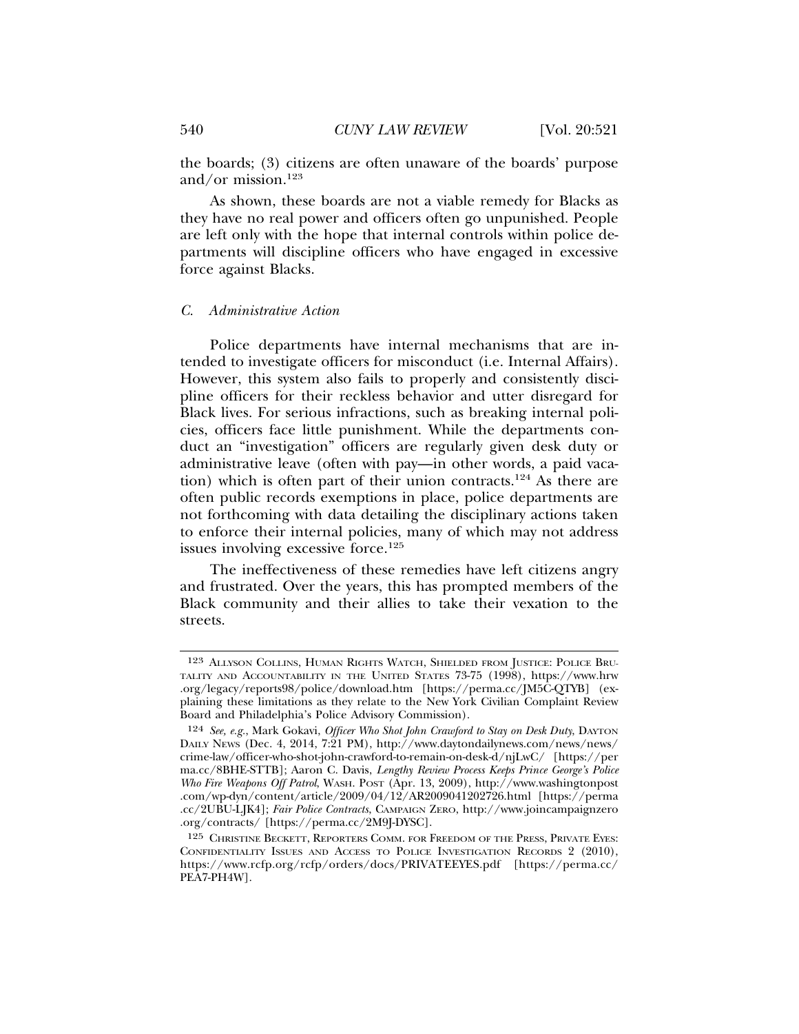the boards; (3) citizens are often unaware of the boards' purpose and/or mission.123

As shown, these boards are not a viable remedy for Blacks as they have no real power and officers often go unpunished. People are left only with the hope that internal controls within police departments will discipline officers who have engaged in excessive force against Blacks.

#### *C. Administrative Action*

Police departments have internal mechanisms that are intended to investigate officers for misconduct (i.e. Internal Affairs). However, this system also fails to properly and consistently discipline officers for their reckless behavior and utter disregard for Black lives. For serious infractions, such as breaking internal policies, officers face little punishment. While the departments conduct an "investigation" officers are regularly given desk duty or administrative leave (often with pay—in other words, a paid vacation) which is often part of their union contracts.<sup>124</sup> As there are often public records exemptions in place, police departments are not forthcoming with data detailing the disciplinary actions taken to enforce their internal policies, many of which may not address issues involving excessive force.<sup>125</sup>

The ineffectiveness of these remedies have left citizens angry and frustrated. Over the years, this has prompted members of the Black community and their allies to take their vexation to the streets.

<sup>123</sup> ALLYSON COLLINS, HUMAN RIGHTS WATCH, SHIELDED FROM JUSTICE: POLICE BRU-TALITY AND ACCOUNTABILITY IN THE UNITED STATES 73-75 (1998), https://www.hrw .org/legacy/reports98/police/download.htm [https://perma.cc/JM5C-QTYB] (explaining these limitations as they relate to the New York Civilian Complaint Review Board and Philadelphia's Police Advisory Commission).

<sup>124</sup> *See, e.g.*, Mark Gokavi, *Officer Who Shot John Crawford to Stay on Desk Duty*, DAYTON DAILY NEWS (Dec. 4, 2014, 7:21 PM), http://www.daytondailynews.com/news/news/ crime-law/officer-who-shot-john-crawford-to-remain-on-desk-d/njLwC/ [https://per ma.cc/8BHE-STTB]; Aaron C. Davis, *Lengthy Review Process Keeps Prince George's Police Who Fire Weapons Off Patrol*, WASH. POST (Apr. 13, 2009), http://www.washingtonpost .com/wp-dyn/content/article/2009/04/12/AR2009041202726.html [https://perma .cc/2UBU-LJK4]; *Fair Police Contracts*, CAMPAIGN ZERO, http://www.joincampaignzero .org/contracts/ [https://perma.cc/2M9J-DYSC].

<sup>125</sup> CHRISTINE BECKETT, REPORTERS COMM. FOR FREEDOM OF THE PRESS, PRIVATE EYES: CONFIDENTIALITY ISSUES AND ACCESS TO POLICE INVESTIGATION RECORDS 2 (2010), https://www.rcfp.org/rcfp/orders/docs/PRIVATEEYES.pdf [https://perma.cc/ PEA7-PH4W].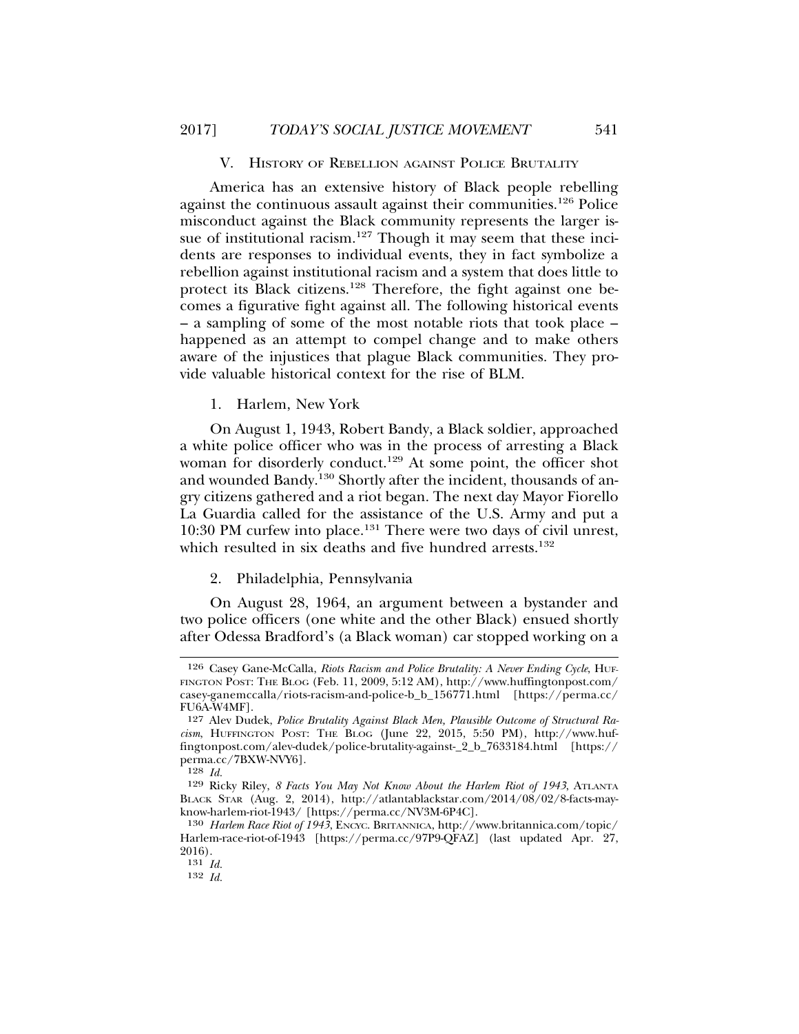#### V. HISTORY OF REBELLION AGAINST POLICE BRUTALITY

America has an extensive history of Black people rebelling against the continuous assault against their communities.126 Police misconduct against the Black community represents the larger issue of institutional racism.<sup>127</sup> Though it may seem that these incidents are responses to individual events, they in fact symbolize a rebellion against institutional racism and a system that does little to protect its Black citizens.128 Therefore, the fight against one becomes a figurative fight against all. The following historical events – a sampling of some of the most notable riots that took place – happened as an attempt to compel change and to make others aware of the injustices that plague Black communities. They provide valuable historical context for the rise of BLM.

1. Harlem, New York

On August 1, 1943, Robert Bandy, a Black soldier, approached a white police officer who was in the process of arresting a Black woman for disorderly conduct.<sup>129</sup> At some point, the officer shot and wounded Bandy.130 Shortly after the incident, thousands of angry citizens gathered and a riot began. The next day Mayor Fiorello La Guardia called for the assistance of the U.S. Army and put a 10:30 PM curfew into place.131 There were two days of civil unrest, which resulted in six deaths and five hundred arrests.<sup>132</sup>

#### 2. Philadelphia, Pennsylvania

On August 28, 1964, an argument between a bystander and two police officers (one white and the other Black) ensued shortly after Odessa Bradford's (a Black woman) car stopped working on a

<sup>126</sup> Casey Gane-McCalla, *Riots Racism and Police Brutality: A Never Ending Cycle*, HUF-FINGTON POST: THE BLOG (Feb. 11, 2009, 5:12 AM), http://www.huffingtonpost.com/ casey-ganemccalla/riots-racism-and-police-b\_b\_156771.html [https://perma.cc/ FU6A-W4MF].

<sup>127</sup> Alev Dudek, *Police Brutality Against Black Men, Plausible Outcome of Structural Racism*, HUFFINGTON POST: THE BLOG (June 22, 2015, 5:50 PM), http://www.huffingtonpost.com/alev-dudek/police-brutality-against-\_2\_b\_7633184.html [https:// perma.cc/7BXW-NVY6].

<sup>128</sup> *Id.*

<sup>129</sup> Ricky Riley, *8 Facts You May Not Know About the Harlem Riot of 1943*, ATLANTA BLACK STAR (Aug. 2, 2014), http://atlantablackstar.com/2014/08/02/8-facts-mayknow-harlem-riot-1943/ [https://perma.cc/NV3M-6P4C].

<sup>130</sup> *Harlem Race Riot of 1943*, ENCYC. BRITANNICA, http://www.britannica.com/topic/ Harlem-race-riot-of-1943 [https://perma.cc/97P9-QFAZ] (last updated Apr. 27, 2016).

<sup>131</sup> *Id.*

<sup>132</sup> *Id.*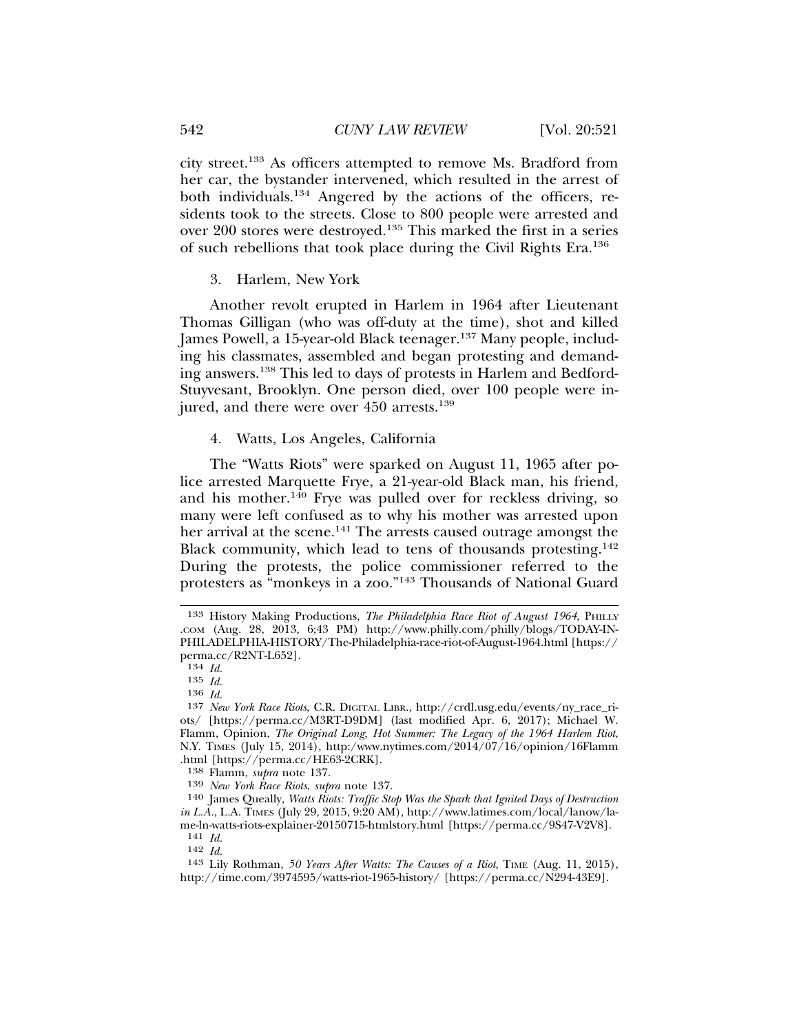city street.133 As officers attempted to remove Ms. Bradford from her car, the bystander intervened, which resulted in the arrest of both individuals.<sup>134</sup> Angered by the actions of the officers, residents took to the streets. Close to 800 people were arrested and over 200 stores were destroyed.135 This marked the first in a series of such rebellions that took place during the Civil Rights Era.136

3. Harlem, New York

Another revolt erupted in Harlem in 1964 after Lieutenant Thomas Gilligan (who was off-duty at the time), shot and killed James Powell, a 15-year-old Black teenager.<sup>137</sup> Many people, including his classmates, assembled and began protesting and demanding answers.138 This led to days of protests in Harlem and Bedford-Stuyvesant, Brooklyn. One person died, over 100 people were injured, and there were over 450 arrests.<sup>139</sup>

4. Watts, Los Angeles, California

The "Watts Riots" were sparked on August 11, 1965 after police arrested Marquette Frye, a 21-year-old Black man, his friend, and his mother.<sup>140</sup> Frye was pulled over for reckless driving, so many were left confused as to why his mother was arrested upon her arrival at the scene.<sup>141</sup> The arrests caused outrage amongst the Black community, which lead to tens of thousands protesting.<sup>142</sup> During the protests, the police commissioner referred to the protesters as "monkeys in a zoo."143 Thousands of National Guard

139 *New York Race Riots*, *supra* note 137.

140 James Queally, *Watts Riots: Traffic Stop Was the Spark that Ignited Days of Destruction in L.A.*, L.A. TIMES (July 29, 2015, 9:20 AM), http://www.latimes.com/local/lanow/lame-ln-watts-riots-explainer-20150715-htmlstory.html [https://perma.cc/9S47-V2V8]. 141 *Id.*

<sup>133</sup> History Making Productions, *The Philadelphia Race Riot of August 1964*, PHILLY .COM (Aug. 28, 2013, 6;43 PM) http://www.philly.com/philly/blogs/TODAY-IN-PHILADELPHIA-HISTORY/The-Philadelphia-race-riot-of-August-1964.html [https:// perma.cc/R2NT-L652].

<sup>134</sup> *Id.*

<sup>135</sup> *Id.*

<sup>136</sup> *Id.*

<sup>137</sup> *New York Race Riots*, C.R. DIGITAL LIBR., http://crdl.usg.edu/events/ny\_race\_riots/ [https://perma.cc/M3RT-D9DM] (last modified Apr. 6, 2017); Michael W. Flamm, Opinion, *The Original Long, Hot Summer: The Legacy of the 1964 Harlem Riot*, N.Y. TIMES (July 15, 2014), http:/www.nytimes.com/2014/07/16/opinion/16Flamm .html [https://perma.cc/HE63-2CRK].

<sup>138</sup> Flamm, *supra* note 137.

<sup>142</sup> *Id.*

<sup>143</sup> Lily Rothman, *50 Years After Watts: The Causes of a Riot*, TIME (Aug. 11, 2015), http://time.com/3974595/watts-riot-1965-history/ [https://perma.cc/N294-43E9].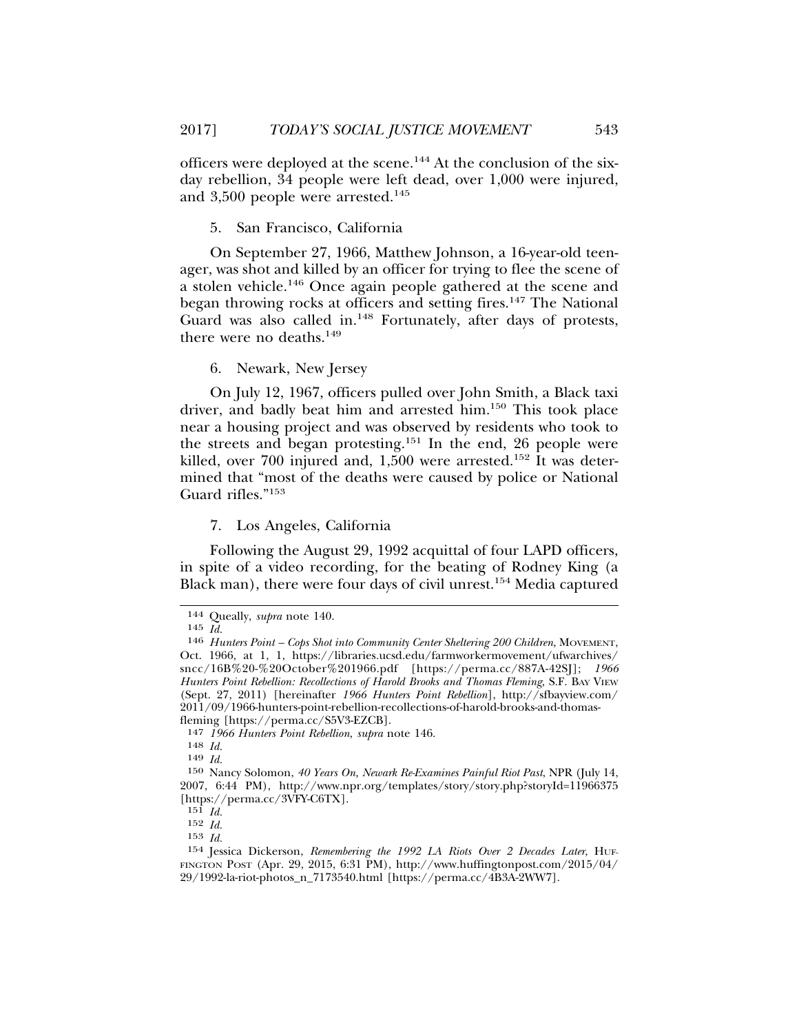officers were deployed at the scene.144 At the conclusion of the sixday rebellion, 34 people were left dead, over 1,000 were injured, and 3,500 people were arrested.<sup>145</sup>

## 5. San Francisco, California

On September 27, 1966, Matthew Johnson, a 16-year-old teenager, was shot and killed by an officer for trying to flee the scene of a stolen vehicle.146 Once again people gathered at the scene and began throwing rocks at officers and setting fires.<sup>147</sup> The National Guard was also called in.<sup>148</sup> Fortunately, after days of protests, there were no deaths. $149$ 

6. Newark, New Jersey

On July 12, 1967, officers pulled over John Smith, a Black taxi driver, and badly beat him and arrested him.150 This took place near a housing project and was observed by residents who took to the streets and began protesting.<sup>151</sup> In the end, 26 people were killed, over 700 injured and, 1,500 were arrested.<sup>152</sup> It was determined that "most of the deaths were caused by police or National Guard rifles."<sup>153</sup>

#### 7. Los Angeles, California

Following the August 29, 1992 acquittal of four LAPD officers, in spite of a video recording, for the beating of Rodney King (a Black man), there were four days of civil unrest.<sup>154</sup> Media captured

<sup>144</sup> Queally, *supra* note 140.

<sup>145</sup> *Id.*

<sup>146</sup> *Hunters Point – Cops Shot into Community Center Sheltering 200 Children*, MOVEMENT, Oct. 1966, at 1, 1, https://libraries.ucsd.edu/farmworkermovement/ufwarchives/ sncc/16B%20-%20October%201966.pdf [https://perma.cc/887A-42SJ]; *1966 Hunters Point Rebellion: Recollections of Harold Brooks and Thomas Fleming*, S.F. BAY VIEW (Sept. 27, 2011) [hereinafter *1966 Hunters Point Rebellion*], http://sfbayview.com/ 2011/09/1966-hunters-point-rebellion-recollections-of-harold-brooks-and-thomasfleming [https://perma.cc/S5V3-EZCB].

<sup>147</sup> *1966 Hunters Point Rebellion*, *supra* note 146.

<sup>148</sup> *Id.*

<sup>149</sup> *Id.*

<sup>150</sup> Nancy Solomon, *40 Years On, Newark Re-Examines Painful Riot Past*, NPR (July 14, 2007, 6:44 PM), http://www.npr.org/templates/story/story.php?storyId=11966375 [https://perma.cc/3VFY-C6TX].

<sup>151</sup> *Id.*

<sup>152</sup> *Id.*

<sup>153</sup> *Id.*

<sup>154</sup> Jessica Dickerson, *Remembering the 1992 LA Riots Over 2 Decades Later*, HUF-FINGTON POST (Apr. 29, 2015, 6:31 PM), http://www.huffingtonpost.com/2015/04/ 29/1992-la-riot-photos\_n\_7173540.html [https://perma.cc/4B3A-2WW7].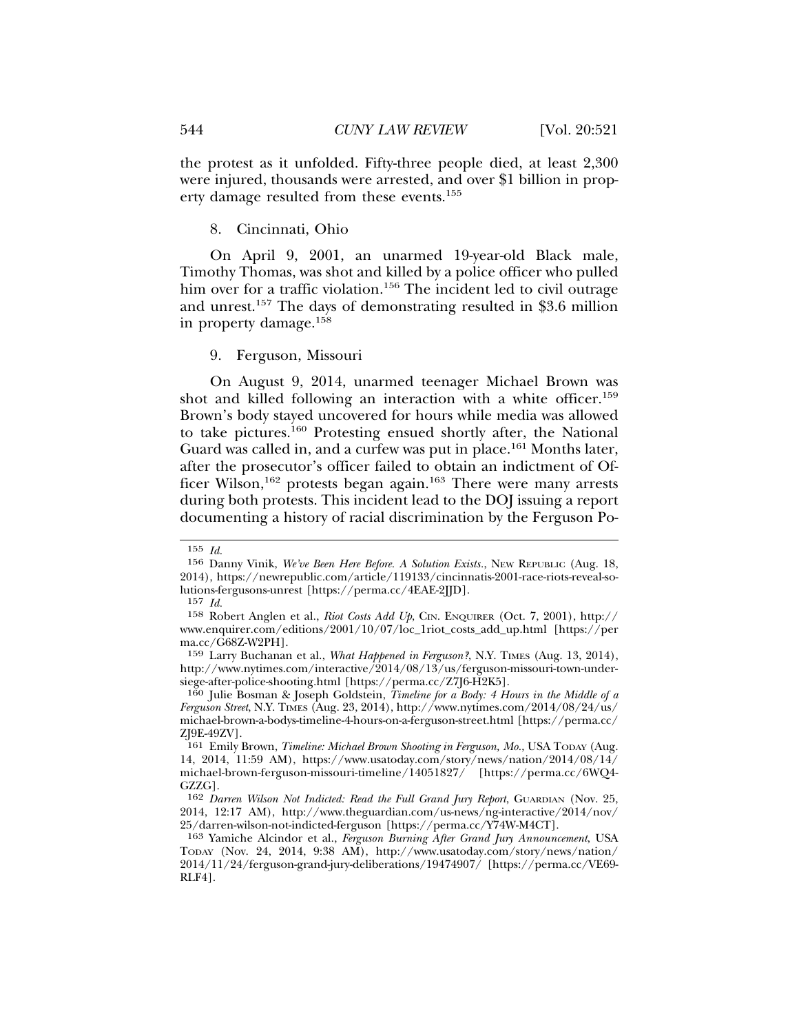the protest as it unfolded. Fifty-three people died, at least 2,300 were injured, thousands were arrested, and over \$1 billion in property damage resulted from these events.155

## 8. Cincinnati, Ohio

On April 9, 2001, an unarmed 19-year-old Black male, Timothy Thomas, was shot and killed by a police officer who pulled him over for a traffic violation.<sup>156</sup> The incident led to civil outrage and unrest.157 The days of demonstrating resulted in \$3.6 million in property damage.158

9. Ferguson, Missouri

On August 9, 2014, unarmed teenager Michael Brown was shot and killed following an interaction with a white officer.<sup>159</sup> Brown's body stayed uncovered for hours while media was allowed to take pictures.160 Protesting ensued shortly after, the National Guard was called in, and a curfew was put in place.<sup>161</sup> Months later, after the prosecutor's officer failed to obtain an indictment of Officer Wilson,<sup>162</sup> protests began again.<sup>163</sup> There were many arrests during both protests. This incident lead to the DOJ issuing a report documenting a history of racial discrimination by the Ferguson Po-

<sup>155</sup> *Id.*

<sup>156</sup> Danny Vinik, *We've Been Here Before. A Solution Exists.*, NEW REPUBLIC (Aug. 18, 2014), https://newrepublic.com/article/119133/cincinnatis-2001-race-riots-reveal-solutions-fergusons-unrest [https://perma.cc/4EAE-2JJD].

<sup>157</sup> *Id.*

<sup>158</sup> Robert Anglen et al., *Riot Costs Add Up*, CIN. ENQUIRER (Oct. 7, 2001), http:// www.enquirer.com/editions/2001/10/07/loc\_1riot\_costs\_add\_up.html [https://per ma.cc/G68Z-W2PH].

<sup>159</sup> Larry Buchanan et al., *What Happened in Ferguson?*, N.Y. TIMES (Aug. 13, 2014), http://www.nytimes.com/interactive/2014/08/13/us/ferguson-missouri-town-undersiege-after-police-shooting.html [https://perma.cc/Z7J6-H2K5].

<sup>160</sup> Julie Bosman & Joseph Goldstein, *Timeline for a Body: 4 Hours in the Middle of a Ferguson Street*, N.Y. TIMES (Aug. 23, 2014), http://www.nytimes.com/2014/08/24/us/ michael-brown-a-bodys-timeline-4-hours-on-a-ferguson-street.html [https://perma.cc/ ZJ9E-49ZV].

<sup>161</sup> Emily Brown, *Timeline: Michael Brown Shooting in Ferguson, Mo.*, USA TODAY (Aug. 14, 2014, 11:59 AM), https://www.usatoday.com/story/news/nation/2014/08/14/ michael-brown-ferguson-missouri-timeline/14051827/ [https://perma.cc/6WQ4- GZZG].

<sup>162</sup> *Darren Wilson Not Indicted: Read the Full Grand Jury Report*, GUARDIAN (Nov. 25, 2014, 12:17 AM), http://www.theguardian.com/us-news/ng-interactive/2014/nov/ 25/darren-wilson-not-indicted-ferguson [https://perma.cc/Y74W-M4CT].

<sup>163</sup> Yamiche Alcindor et al., *Ferguson Burning After Grand Jury Announcement*, USA TODAY (Nov. 24, 2014, 9:38 AM), http://www.usatoday.com/story/news/nation/ 2014/11/24/ferguson-grand-jury-deliberations/19474907/ [https://perma.cc/VE69- RLF4].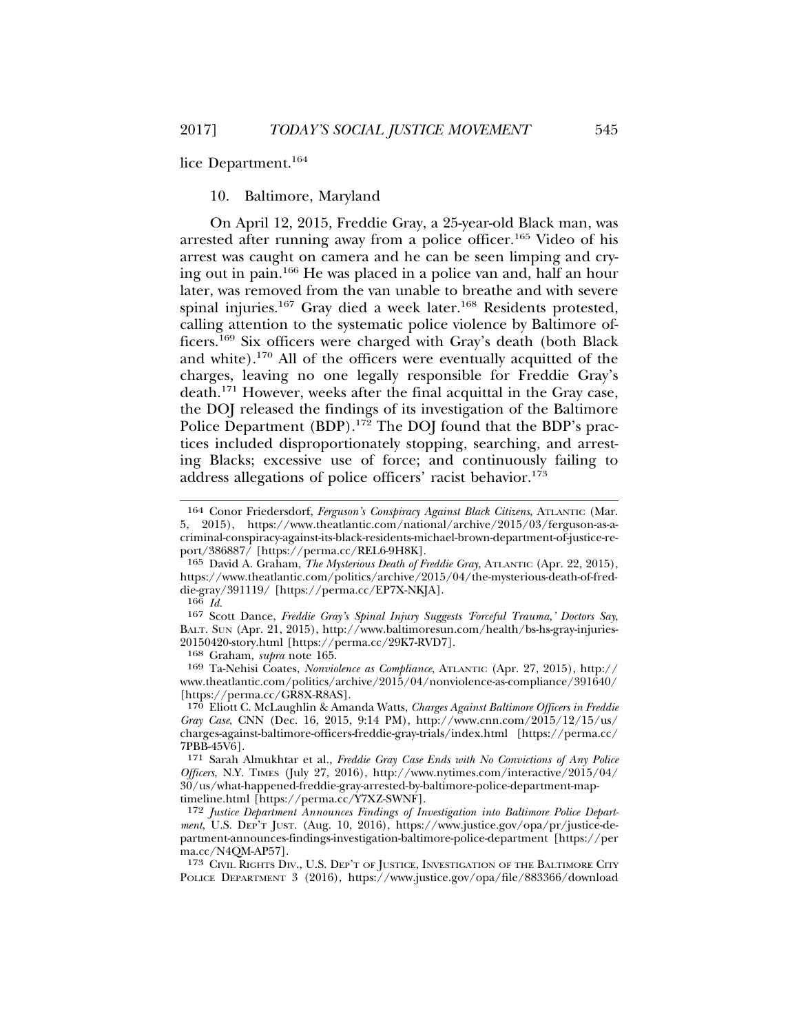lice Department.164

## 10. Baltimore, Maryland

On April 12, 2015, Freddie Gray, a 25-year-old Black man, was arrested after running away from a police officer.165 Video of his arrest was caught on camera and he can be seen limping and crying out in pain.166 He was placed in a police van and, half an hour later, was removed from the van unable to breathe and with severe spinal injuries.167 Gray died a week later.168 Residents protested, calling attention to the systematic police violence by Baltimore officers.169 Six officers were charged with Gray's death (both Black and white).170 All of the officers were eventually acquitted of the charges, leaving no one legally responsible for Freddie Gray's death.<sup>171</sup> However, weeks after the final acquittal in the Gray case, the DOJ released the findings of its investigation of the Baltimore Police Department (BDP).<sup>172</sup> The DOJ found that the BDP's practices included disproportionately stopping, searching, and arresting Blacks; excessive use of force; and continuously failing to address allegations of police officers' racist behavior.<sup>173</sup>

168 Graham, *supra* note 165.

169 Ta-Nehisi Coates, *Nonviolence as Compliance*, ATLANTIC (Apr. 27, 2015), http:// www.theatlantic.com/politics/archive/2015/04/nonviolence-as-compliance/391640/ [https://perma.cc/GR8X-R8AS].

<sup>164</sup> Conor Friedersdorf, *Ferguson's Conspiracy Against Black Citizens*, ATLANTIC (Mar. 5, 2015), https://www.theatlantic.com/national/archive/2015/03/ferguson-as-acriminal-conspiracy-against-its-black-residents-michael-brown-department-of-justice-report/386887/ [https://perma.cc/REL6-9H8K].

<sup>165</sup> David A. Graham, *The Mysterious Death of Freddie Gray*, ATLANTIC (Apr. 22, 2015), https://www.theatlantic.com/politics/archive/2015/04/the-mysterious-death-of-freddie-gray/391119/ [https://perma.cc/EP7X-NKJA].

<sup>166</sup> *Id.*

<sup>167</sup> Scott Dance, *Freddie Gray's Spinal Injury Suggests 'Forceful Trauma,' Doctors Say*, BALT. SUN (Apr. 21, 2015), http://www.baltimoresun.com/health/bs-hs-gray-injuries-20150420-story.html [https://perma.cc/29K7-RVD7].

<sup>170</sup> Eliott C. McLaughlin & Amanda Watts, *Charges Against Baltimore Officers in Freddie Gray Case*, CNN (Dec. 16, 2015, 9:14 PM), http://www.cnn.com/2015/12/15/us/ charges-against-baltimore-officers-freddie-gray-trials/index.html [https://perma.cc/ 7PBB-45V6].

<sup>171</sup> Sarah Almukhtar et al., *Freddie Gray Case Ends with No Convictions of Any Police Officers*, N.Y. TIMES (July 27, 2016), http://www.nytimes.com/interactive/2015/04/ 30/us/what-happened-freddie-gray-arrested-by-baltimore-police-department-maptimeline.html [https://perma.cc/Y7XZ-SWNF].

<sup>172</sup> *Justice Department Announces Findings of Investigation into Baltimore Police Department*, U.S. DEP'T JUST. (Aug. 10, 2016), https://www.justice.gov/opa/pr/justice-department-announces-findings-investigation-baltimore-police-department [https://per ma.cc/N4QM-AP57].

<sup>173</sup> CIVIL RIGHTS DIV., U.S. DEP'T OF JUSTICE, INVESTIGATION OF THE BALTIMORE CITY POLICE DEPARTMENT 3 (2016), https://www.justice.gov/opa/file/883366/download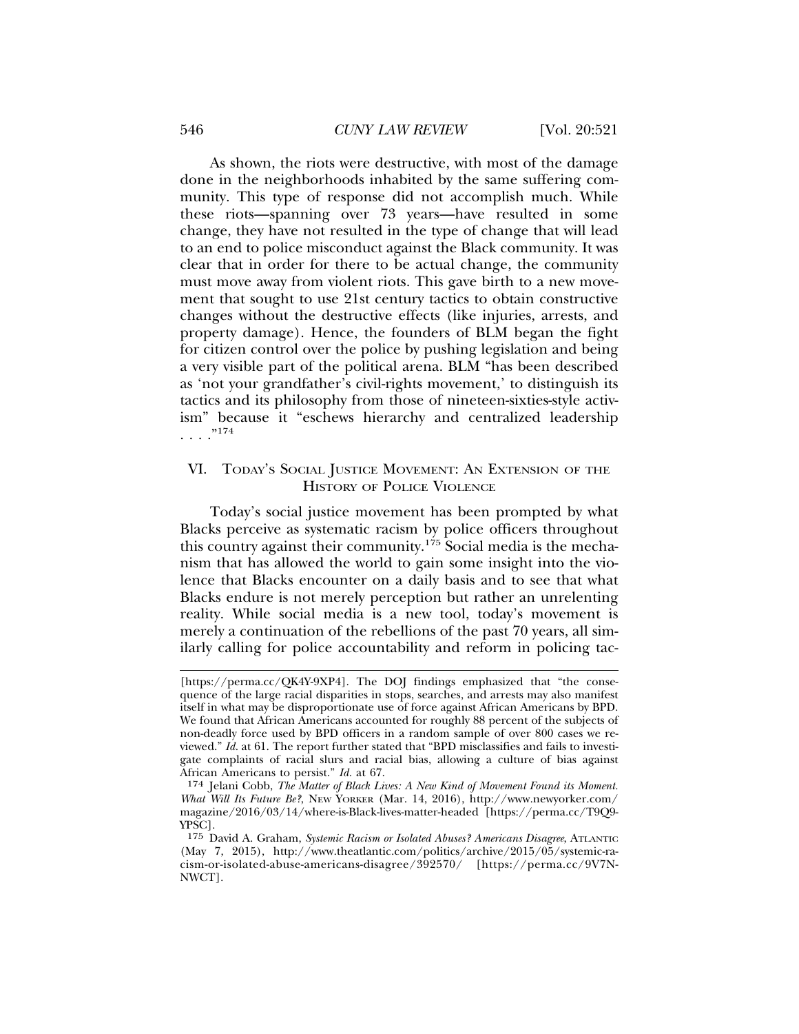#### 546 *CUNY LAW REVIEW* [Vol. 20:521

As shown, the riots were destructive, with most of the damage done in the neighborhoods inhabited by the same suffering community. This type of response did not accomplish much. While these riots—spanning over 73 years—have resulted in some change, they have not resulted in the type of change that will lead to an end to police misconduct against the Black community. It was clear that in order for there to be actual change, the community must move away from violent riots. This gave birth to a new movement that sought to use 21st century tactics to obtain constructive changes without the destructive effects (like injuries, arrests, and property damage). Hence, the founders of BLM began the fight for citizen control over the police by pushing legislation and being a very visible part of the political arena. BLM "has been described as 'not your grandfather's civil-rights movement,' to distinguish its tactics and its philosophy from those of nineteen-sixties-style activism" because it "eschews hierarchy and centralized leadership  $\frac{174}{174}$ 

## VI. TODAY'S SOCIAL JUSTICE MOVEMENT: AN EXTENSION OF THE HISTORY OF POLICE VIOLENCE

Today's social justice movement has been prompted by what Blacks perceive as systematic racism by police officers throughout this country against their community.175 Social media is the mechanism that has allowed the world to gain some insight into the violence that Blacks encounter on a daily basis and to see that what Blacks endure is not merely perception but rather an unrelenting reality. While social media is a new tool, today's movement is merely a continuation of the rebellions of the past 70 years, all similarly calling for police accountability and reform in policing tac-

<sup>[</sup>https://perma.cc/QK4Y-9XP4]. The DOJ findings emphasized that "the consequence of the large racial disparities in stops, searches, and arrests may also manifest itself in what may be disproportionate use of force against African Americans by BPD. We found that African Americans accounted for roughly 88 percent of the subjects of non-deadly force used by BPD officers in a random sample of over 800 cases we reviewed." *Id.* at 61. The report further stated that "BPD misclassifies and fails to investigate complaints of racial slurs and racial bias, allowing a culture of bias against African Americans to persist." *Id.* at 67.

<sup>174</sup> Jelani Cobb, *The Matter of Black Lives: A New Kind of Movement Found its Moment. What Will Its Future Be?*, NEW YORKER (Mar. 14, 2016), http://www.newyorker.com/ magazine/2016/03/14/where-is-Black-lives-matter-headed [https://perma.cc/T9Q9- YPSC].

<sup>175</sup> David A. Graham, *Systemic Racism or Isolated Abuses? Americans Disagree*, ATLANTIC (May 7, 2015), http://www.theatlantic.com/politics/archive/2015/05/systemic-racism-or-isolated-abuse-americans-disagree/392570/ [https://perma.cc/9V7N-NWCT].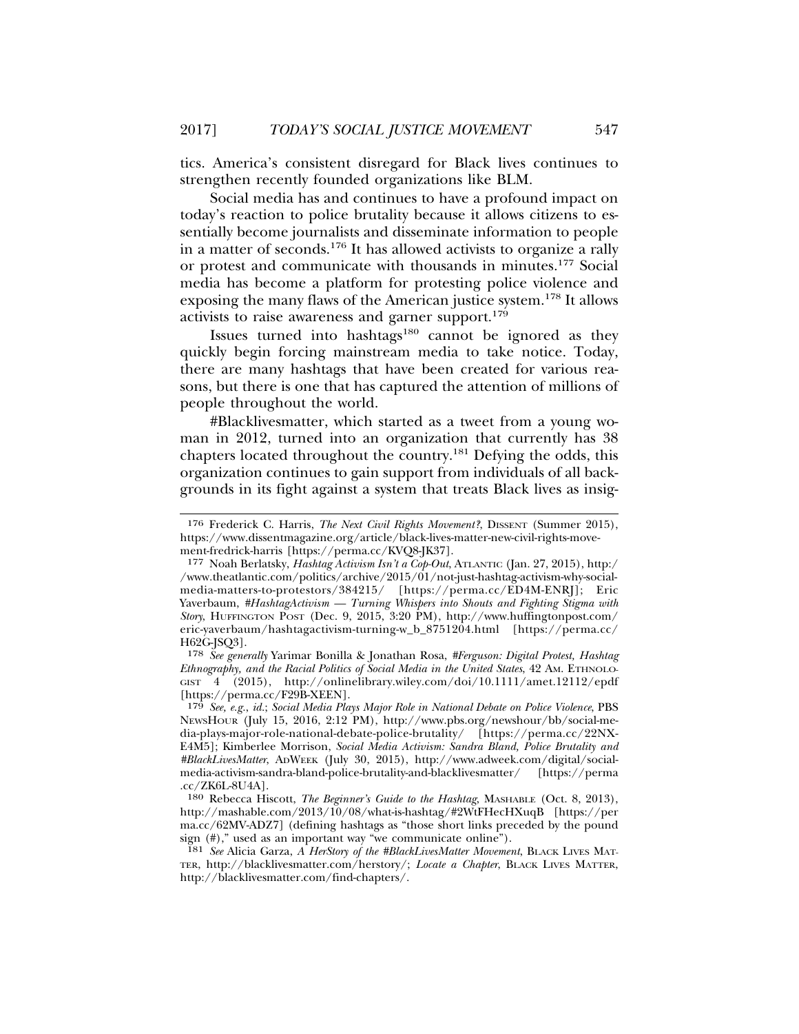tics. America's consistent disregard for Black lives continues to strengthen recently founded organizations like BLM.

Social media has and continues to have a profound impact on today's reaction to police brutality because it allows citizens to essentially become journalists and disseminate information to people in a matter of seconds.176 It has allowed activists to organize a rally or protest and communicate with thousands in minutes.177 Social media has become a platform for protesting police violence and exposing the many flaws of the American justice system.178 It allows activists to raise awareness and garner support.<sup>179</sup>

Issues turned into hashtags<sup>180</sup> cannot be ignored as they quickly begin forcing mainstream media to take notice. Today, there are many hashtags that have been created for various reasons, but there is one that has captured the attention of millions of people throughout the world.

#Blacklivesmatter, which started as a tweet from a young woman in 2012, turned into an organization that currently has 38 chapters located throughout the country.181 Defying the odds, this organization continues to gain support from individuals of all backgrounds in its fight against a system that treats Black lives as insig-

<sup>176</sup> Frederick C. Harris, *The Next Civil Rights Movement?*, DISSENT (Summer 2015), https://www.dissentmagazine.org/article/black-lives-matter-new-civil-rights-movement-fredrick-harris [https://perma.cc/KVQ8-JK37].

<sup>177</sup> Noah Berlatsky, *Hashtag Activism Isn't a Cop-Out*, ATLANTIC (Jan. 27, 2015), http:/ /www.theatlantic.com/politics/archive/2015/01/not-just-hashtag-activism-why-socialmedia-matters-to-protestors/384215/ [https://perma.cc/ED4M-ENRJ]; Eric Yaverbaum, *#HashtagActivism — Turning Whispers into Shouts and Fighting Stigma with Story*, HUFFINGTON POST (Dec. 9, 2015, 3:20 PM), http://www.huffingtonpost.com/ eric-yaverbaum/hashtagactivism-turning-w\_b\_8751204.html [https://perma.cc/ H62G-JSQ3].

<sup>178</sup> *See generally* Yarimar Bonilla & Jonathan Rosa, *#Ferguson: Digital Protest, Hashtag Ethnography, and the Racial Politics of Social Media in the United States*, 42 AM. ETHNOLO-GIST 4 (2015), http://onlinelibrary.wiley.com/doi/10.1111/amet.12112/epdf [https://perma.cc/F29B-XEEN].

<sup>179</sup> *See, e.g.*, *id.*; *Social Media Plays Major Role in National Debate on Police Violence*, PBS NEWSHOUR (July 15, 2016, 2:12 PM), http://www.pbs.org/newshour/bb/social-media-plays-major-role-national-debate-police-brutality/ [https://perma.cc/22NX-E4M5]; Kimberlee Morrison, *Social Media Activism: Sandra Bland, Police Brutality and #BlackLivesMatter*, ADWEEK (July 30, 2015), http://www.adweek.com/digital/socialmedia-activism-sandra-bland-police-brutality-and-blacklivesmatter/ [https://perma .cc/ZK6L-8U4A].

<sup>180</sup> Rebecca Hiscott, *The Beginner's Guide to the Hashtag*, MASHABLE (Oct. 8, 2013), http://mashable.com/2013/10/08/what-is-hashtag/#2WtFHecHXuqB [https://per ma.cc/62MV-ADZ7] (defining hashtags as "those short links preceded by the pound sign (#)," used as an important way "we communicate online").

<sup>181</sup> *See* Alicia Garza, *A HerStory of the #BlackLivesMatter Movement*, BLACK LIVES MAT-TER, http://blacklivesmatter.com/herstory/; *Locate a Chapter*, BLACK LIVES MATTER, http://blacklivesmatter.com/find-chapters/.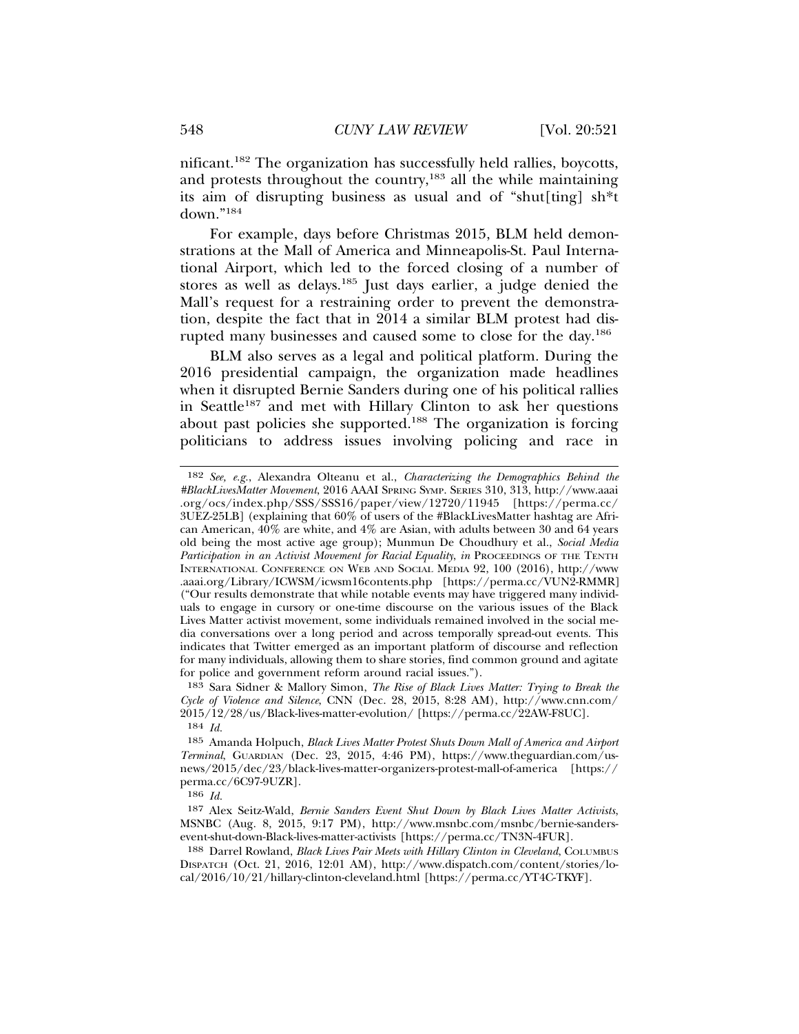nificant.182 The organization has successfully held rallies, boycotts, and protests throughout the country,<sup>183</sup> all the while maintaining its aim of disrupting business as usual and of "shut[ting] sh\*t down."<sup>184</sup>

For example, days before Christmas 2015, BLM held demonstrations at the Mall of America and Minneapolis-St. Paul International Airport, which led to the forced closing of a number of stores as well as delays.185 Just days earlier, a judge denied the Mall's request for a restraining order to prevent the demonstration, despite the fact that in 2014 a similar BLM protest had disrupted many businesses and caused some to close for the day.186

BLM also serves as a legal and political platform. During the 2016 presidential campaign, the organization made headlines when it disrupted Bernie Sanders during one of his political rallies in Seattle<sup>187</sup> and met with Hillary Clinton to ask her questions about past policies she supported.188 The organization is forcing politicians to address issues involving policing and race in

186 *Id.*

<sup>182</sup> *See, e.g.*, Alexandra Olteanu et al., *Characterizing the Demographics Behind the #BlackLivesMatter Movement*, 2016 AAAI SPRING SYMP. SERIES 310, 313, http://www.aaai .org/ocs/index.php/SSS/SSS16/paper/view/12720/11945 [https://perma.cc/ 3UEZ-25LB] (explaining that 60% of users of the #BlackLivesMatter hashtag are African American, 40% are white, and 4% are Asian, with adults between 30 and 64 years old being the most active age group); Munmun De Choudhury et al., *Social Media Participation in an Activist Movement for Racial Equality, in* PROCEEDINGS OF THE TENTH INTERNATIONAL CONFERENCE ON WEB AND SOCIAL MEDIA 92, 100 (2016), http://www .aaai.org/Library/ICWSM/icwsm16contents.php [https://perma.cc/VUN2-RMMR] ("Our results demonstrate that while notable events may have triggered many individuals to engage in cursory or one-time discourse on the various issues of the Black Lives Matter activist movement, some individuals remained involved in the social media conversations over a long period and across temporally spread-out events. This indicates that Twitter emerged as an important platform of discourse and reflection for many individuals, allowing them to share stories, find common ground and agitate for police and government reform around racial issues.").

<sup>183</sup> Sara Sidner & Mallory Simon, *The Rise of Black Lives Matter: Trying to Break the Cycle of Violence and Silence*, CNN (Dec. 28, 2015, 8:28 AM), http://www.cnn.com/ 2015/12/28/us/Black-lives-matter-evolution/ [https://perma.cc/22AW-F8UC]. 184 *Id.*

<sup>185</sup> Amanda Holpuch, *Black Lives Matter Protest Shuts Down Mall of America and Airport Terminal*, GUARDIAN (Dec. 23, 2015, 4:46 PM), https://www.theguardian.com/usnews/2015/dec/23/black-lives-matter-organizers-protest-mall-of-america [https:// perma.cc/6C97-9UZR].

<sup>187</sup> Alex Seitz-Wald, *Bernie Sanders Event Shut Down by Black Lives Matter Activists*, MSNBC (Aug. 8, 2015, 9:17 PM), http://www.msnbc.com/msnbc/bernie-sandersevent-shut-down-Black-lives-matter-activists [https://perma.cc/TN3N-4FUR].

<sup>188</sup> Darrel Rowland, *Black Lives Pair Meets with Hillary Clinton in Cleveland*, COLUMBUS DISPATCH (Oct. 21, 2016, 12:01 AM), http://www.dispatch.com/content/stories/local/2016/10/21/hillary-clinton-cleveland.html [https://perma.cc/YT4C-TKYF].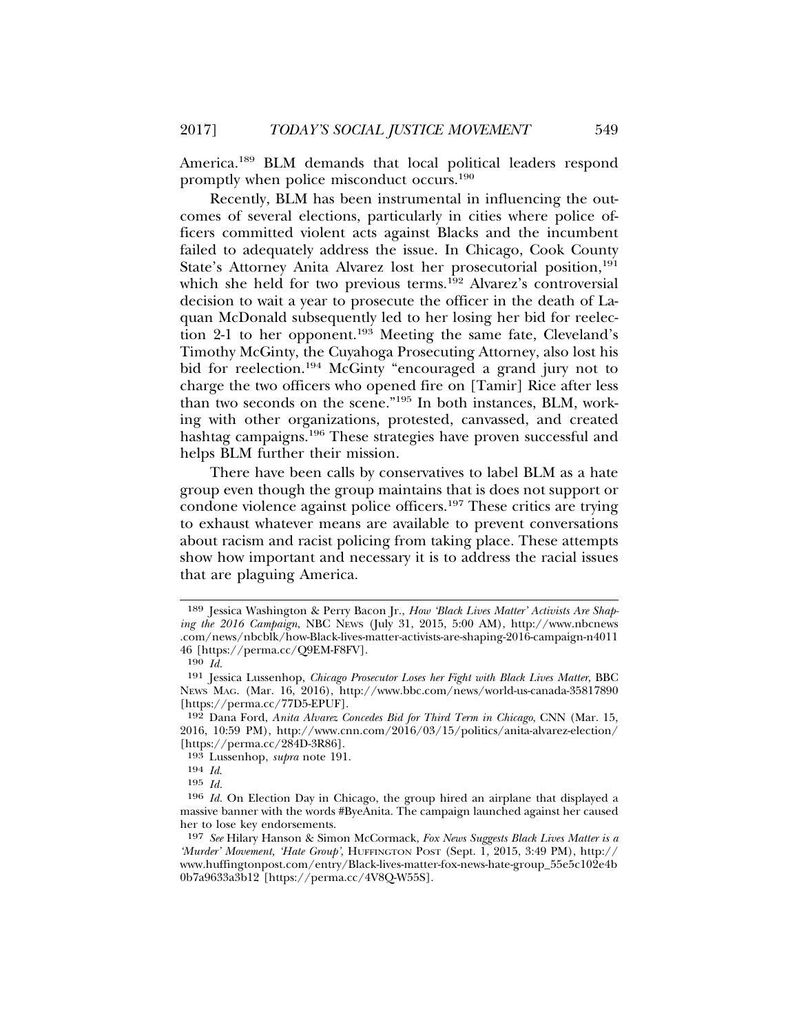America.189 BLM demands that local political leaders respond promptly when police misconduct occurs.<sup>190</sup>

Recently, BLM has been instrumental in influencing the outcomes of several elections, particularly in cities where police officers committed violent acts against Blacks and the incumbent failed to adequately address the issue. In Chicago, Cook County State's Attorney Anita Alvarez lost her prosecutorial position,<sup>191</sup> which she held for two previous terms.<sup>192</sup> Alvarez's controversial decision to wait a year to prosecute the officer in the death of Laquan McDonald subsequently led to her losing her bid for reelection 2-1 to her opponent.<sup>193</sup> Meeting the same fate, Cleveland's Timothy McGinty, the Cuyahoga Prosecuting Attorney, also lost his bid for reelection.<sup>194</sup> McGinty "encouraged a grand jury not to charge the two officers who opened fire on [Tamir] Rice after less than two seconds on the scene."195 In both instances, BLM, working with other organizations, protested, canvassed, and created hashtag campaigns.196 These strategies have proven successful and helps BLM further their mission.

There have been calls by conservatives to label BLM as a hate group even though the group maintains that is does not support or condone violence against police officers.<sup>197</sup> These critics are trying to exhaust whatever means are available to prevent conversations about racism and racist policing from taking place. These attempts show how important and necessary it is to address the racial issues that are plaguing America.

<sup>189</sup> Jessica Washington & Perry Bacon Jr., *How 'Black Lives Matter' Activists Are Shaping the 2016 Campaign*, NBC NEWS (July 31, 2015, 5:00 AM), http://www.nbcnews .com/news/nbcblk/how-Black-lives-matter-activists-are-shaping-2016-campaign-n4011 46 [https://perma.cc/Q9EM-F8FV].

<sup>190</sup> *Id.*

<sup>191</sup> Jessica Lussenhop, *Chicago Prosecutor Loses her Fight with Black Lives Matter*, BBC NEWS MAG. (Mar. 16, 2016), http://www.bbc.com/news/world-us-canada-35817890 [https://perma.cc/77D5-EPUF].

<sup>192</sup> Dana Ford, *Anita Alvarez Concedes Bid for Third Term in Chicago*, CNN (Mar. 15, 2016, 10:59 PM), http://www.cnn.com/2016/03/15/politics/anita-alvarez-election/ [https://perma.cc/284D-3R86].

<sup>193</sup> Lussenhop, *supra* note 191.

<sup>194</sup> *Id*.

<sup>195</sup> *Id.*

<sup>196</sup> *Id.* On Election Day in Chicago, the group hired an airplane that displayed a massive banner with the words #ByeAnita. The campaign launched against her caused her to lose key endorsements.

<sup>197</sup> *See* Hilary Hanson & Simon McCormack, *Fox News Suggests Black Lives Matter is a 'Murder' Movement, 'Hate Group'*, HUFFINGTON POST (Sept. 1, 2015, 3:49 PM), http:// www.huffingtonpost.com/entry/Black-lives-matter-fox-news-hate-group\_55e5c102e4b 0b7a9633a3b12 [https://perma.cc/4V8Q-W55S].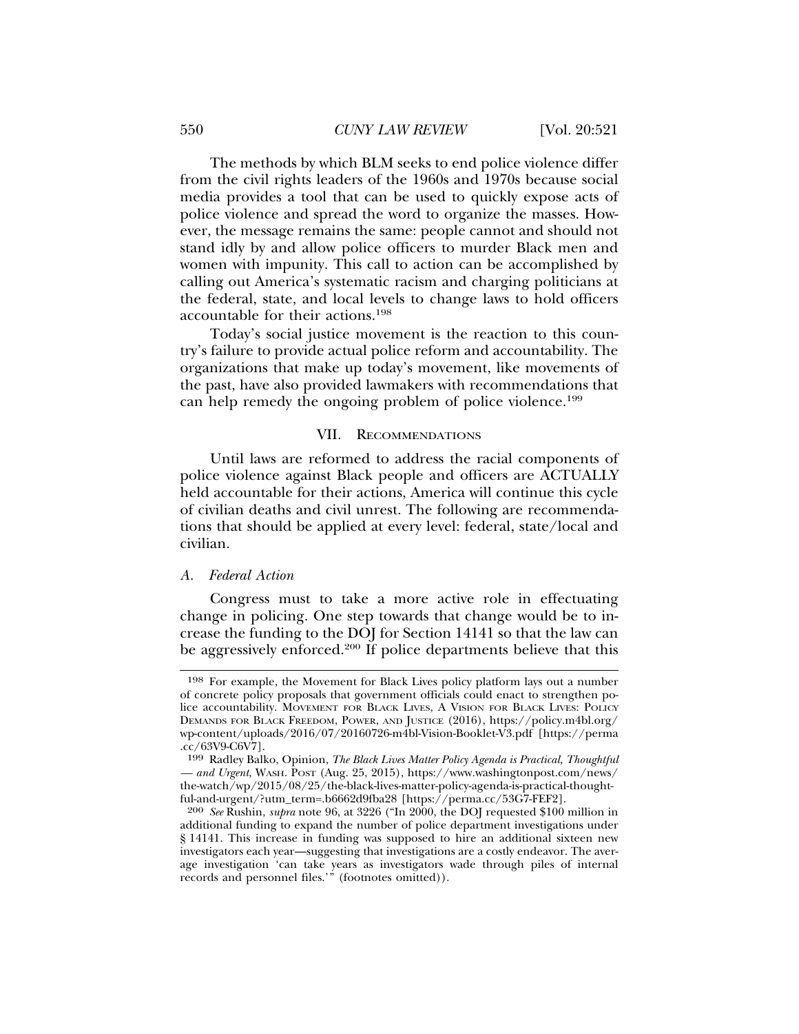The methods by which BLM seeks to end police violence differ from the civil rights leaders of the 1960s and 1970s because social media provides a tool that can be used to quickly expose acts of police violence and spread the word to organize the masses. However, the message remains the same: people cannot and should not stand idly by and allow police officers to murder Black men and women with impunity. This call to action can be accomplished by calling out America's systematic racism and charging politicians at the federal, state, and local levels to change laws to hold officers accountable for their actions.198

Today's social justice movement is the reaction to this country's failure to provide actual police reform and accountability. The organizations that make up today's movement, like movements of the past, have also provided lawmakers with recommendations that can help remedy the ongoing problem of police violence.199

#### VII. RECOMMENDATIONS

Until laws are reformed to address the racial components of police violence against Black people and officers are ACTUALLY held accountable for their actions, America will continue this cycle of civilian deaths and civil unrest. The following are recommendations that should be applied at every level: federal, state/local and civilian.

#### *A. Federal Action*

Congress must to take a more active role in effectuating change in policing. One step towards that change would be to increase the funding to the DOJ for Section 14141 so that the law can be aggressively enforced.<sup>200</sup> If police departments believe that this

<sup>198</sup> For example, the Movement for Black Lives policy platform lays out a number of concrete policy proposals that government officials could enact to strengthen police accountability. MOVEMENT FOR BLACK LIVES, A VISION FOR BLACK LIVES: POLICY DEMANDS FOR BLACK FREEDOM, POWER, AND JUSTICE (2016), https://policy.m4bl.org/ wp-content/uploads/2016/07/20160726-m4bl-Vision-Booklet-V3.pdf [https://perma .cc/63V9-C6V7].

<sup>199</sup> Radley Balko, Opinion, *The Black Lives Matter Policy Agenda is Practical, Thoughtful — and Urgent*, WASH. POST (Aug. 25, 2015), https://www.washingtonpost.com/news/ the-watch/wp/2015/08/25/the-black-lives-matter-policy-agenda-is-practical-thoughtful-and-urgent/?utm\_term=.b6662d9fba28 [https://perma.cc/53G7-FEF2].

<sup>200</sup> *See* Rushin, *supra* note 96, at 3226 ("In 2000, the DOJ requested \$100 million in additional funding to expand the number of police department investigations under § 14141. This increase in funding was supposed to hire an additional sixteen new investigators each year—suggesting that investigations are a costly endeavor. The average investigation 'can take years as investigators wade through piles of internal records and personnel files.'" (footnotes omitted)).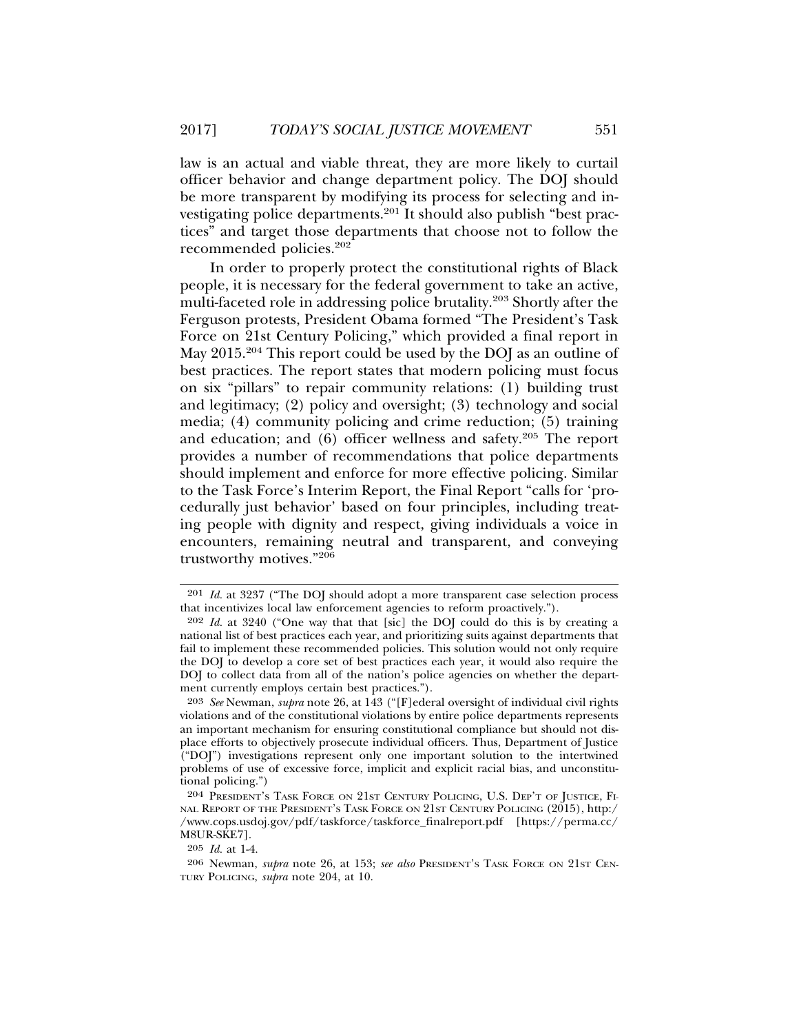law is an actual and viable threat, they are more likely to curtail officer behavior and change department policy. The DOJ should be more transparent by modifying its process for selecting and investigating police departments.<sup>201</sup> It should also publish "best practices" and target those departments that choose not to follow the recommended policies.202

In order to properly protect the constitutional rights of Black people, it is necessary for the federal government to take an active, multi-faceted role in addressing police brutality.203 Shortly after the Ferguson protests, President Obama formed "The President's Task Force on 21st Century Policing," which provided a final report in May 2015.<sup>204</sup> This report could be used by the DOJ as an outline of best practices. The report states that modern policing must focus on six "pillars" to repair community relations: (1) building trust and legitimacy; (2) policy and oversight; (3) technology and social media; (4) community policing and crime reduction; (5) training and education; and (6) officer wellness and safety.205 The report provides a number of recommendations that police departments should implement and enforce for more effective policing. Similar to the Task Force's Interim Report, the Final Report "calls for 'procedurally just behavior' based on four principles, including treating people with dignity and respect, giving individuals a voice in encounters, remaining neutral and transparent, and conveying trustworthy motives."206

<sup>201</sup> *Id.* at 3237 ("The DOJ should adopt a more transparent case selection process that incentivizes local law enforcement agencies to reform proactively.").

<sup>202</sup> *Id.* at 3240 ("One way that that [sic] the DOJ could do this is by creating a national list of best practices each year, and prioritizing suits against departments that fail to implement these recommended policies. This solution would not only require the DOJ to develop a core set of best practices each year, it would also require the DOJ to collect data from all of the nation's police agencies on whether the department currently employs certain best practices.").

<sup>203</sup> *See* Newman, *supra* note 26, at 143 ("[F]ederal oversight of individual civil rights violations and of the constitutional violations by entire police departments represents an important mechanism for ensuring constitutional compliance but should not displace efforts to objectively prosecute individual officers. Thus, Department of Justice ("DOJ") investigations represent only one important solution to the intertwined problems of use of excessive force, implicit and explicit racial bias, and unconstitutional policing.")

<sup>204</sup> PRESIDENT'S TASK FORCE ON 21ST CENTURY POLICING, U.S. DEP'T OF JUSTICE, FI-NAL REPORT OF THE PRESIDENT'S TASK FORCE ON 21ST CENTURY POLICING (2015), http:/ /www.cops.usdoj.gov/pdf/taskforce/taskforce\_finalreport.pdf [https://perma.cc/ M8UR-SKE7].

<sup>205</sup> *Id.* at 1-4.

<sup>206</sup> Newman, *supra* note 26, at 153; *see also* PRESIDENT'S TASK FORCE ON 21ST CEN-TURY POLICING, *supra* note 204, at 10.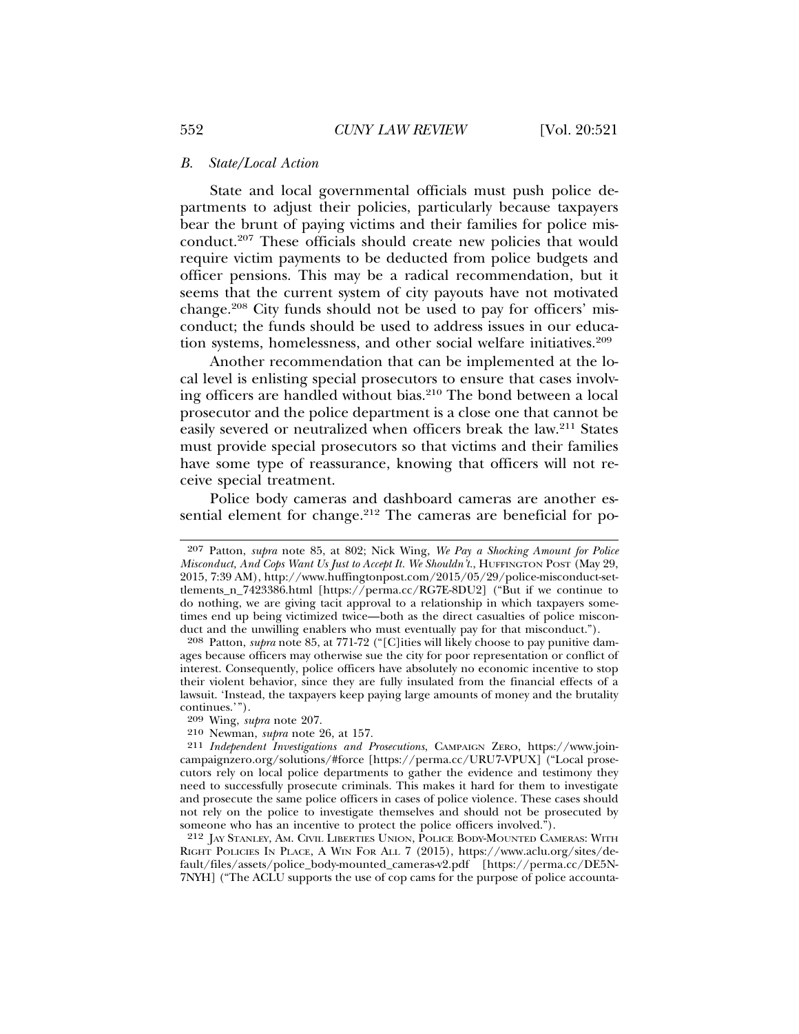#### *B. State/Local Action*

State and local governmental officials must push police departments to adjust their policies, particularly because taxpayers bear the brunt of paying victims and their families for police misconduct.207 These officials should create new policies that would require victim payments to be deducted from police budgets and officer pensions. This may be a radical recommendation, but it seems that the current system of city payouts have not motivated change.208 City funds should not be used to pay for officers' misconduct; the funds should be used to address issues in our education systems, homelessness, and other social welfare initiatives.<sup>209</sup>

Another recommendation that can be implemented at the local level is enlisting special prosecutors to ensure that cases involving officers are handled without bias.210 The bond between a local prosecutor and the police department is a close one that cannot be easily severed or neutralized when officers break the law.211 States must provide special prosecutors so that victims and their families have some type of reassurance, knowing that officers will not receive special treatment.

Police body cameras and dashboard cameras are another essential element for change.<sup>212</sup> The cameras are beneficial for po-

<sup>207</sup> Patton, *supra* note 85, at 802; Nick Wing*, We Pay a Shocking Amount for Police Misconduct, And Cops Want Us Just to Accept It. We Shouldn't.*, HUFFINGTON POST (May 29, 2015, 7:39 AM), http://www.huffingtonpost.com/2015/05/29/police-misconduct-settlements\_n\_7423386.html [https://perma.cc/RG7E-8DU2] ("But if we continue to do nothing, we are giving tacit approval to a relationship in which taxpayers sometimes end up being victimized twice—both as the direct casualties of police misconduct and the unwilling enablers who must eventually pay for that misconduct.").

<sup>208</sup> Patton, *supra* note 85, at 771-72 ("[C]ities will likely choose to pay punitive damages because officers may otherwise sue the city for poor representation or conflict of interest. Consequently, police officers have absolutely no economic incentive to stop their violent behavior, since they are fully insulated from the financial effects of a lawsuit. 'Instead, the taxpayers keep paying large amounts of money and the brutality continues.'").

<sup>209</sup> Wing, *supra* note 207.

<sup>210</sup> Newman, *supra* note 26, at 157.

<sup>211</sup> *Independent Investigations and Prosecutions*, CAMPAIGN ZERO, https://www.joincampaignzero.org/solutions/#force [https://perma.cc/URU7-VPUX] ("Local prosecutors rely on local police departments to gather the evidence and testimony they need to successfully prosecute criminals. This makes it hard for them to investigate and prosecute the same police officers in cases of police violence. These cases should not rely on the police to investigate themselves and should not be prosecuted by someone who has an incentive to protect the police officers involved.").

<sup>212</sup> JAY STANLEY, AM. CIVIL LIBERTIES UNION, POLICE BODY-MOUNTED CAMERAS: WITH RIGHT POLICIES IN PLACE, A WIN FOR ALL 7 (2015), https://www.aclu.org/sites/default/files/assets/police\_body-mounted\_cameras-v2.pdf [https://perma.cc/DE5N-7NYH] ("The ACLU supports the use of cop cams for the purpose of police accounta-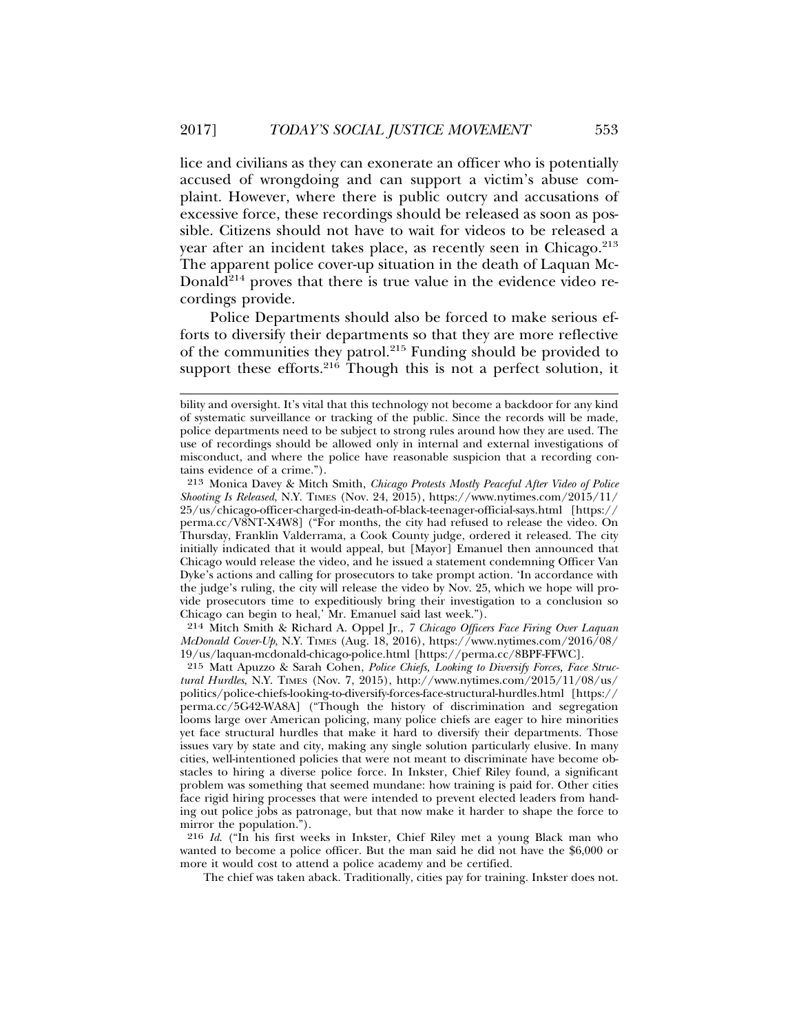lice and civilians as they can exonerate an officer who is potentially accused of wrongdoing and can support a victim's abuse complaint. However, where there is public outcry and accusations of excessive force, these recordings should be released as soon as possible. Citizens should not have to wait for videos to be released a year after an incident takes place, as recently seen in Chicago.<sup>213</sup> The apparent police cover-up situation in the death of Laquan Mc-Donald<sup>214</sup> proves that there is true value in the evidence video recordings provide.

Police Departments should also be forced to make serious efforts to diversify their departments so that they are more reflective of the communities they patrol.<sup>215</sup> Funding should be provided to support these efforts.<sup>216</sup> Though this is not a perfect solution, it

214 Mitch Smith & Richard A. Oppel Jr., *7 Chicago Officers Face Firing Over Laquan McDonald Cover-Up*, N.Y. TIMES (Aug. 18, 2016), https://www.nytimes.com/2016/08/ 19/us/laquan-mcdonald-chicago-police.html [https://perma.cc/8BPF-FFWC].

The chief was taken aback. Traditionally, cities pay for training. Inkster does not.

bility and oversight. It's vital that this technology not become a backdoor for any kind of systematic surveillance or tracking of the public. Since the records will be made, police departments need to be subject to strong rules around how they are used. The use of recordings should be allowed only in internal and external investigations of misconduct, and where the police have reasonable suspicion that a recording contains evidence of a crime.").

<sup>213</sup> Monica Davey & Mitch Smith, *Chicago Protests Mostly Peaceful After Video of Police Shooting Is Released*, N.Y. TIMES (Nov. 24, 2015), https://www.nytimes.com/2015/11/ 25/us/chicago-officer-charged-in-death-of-black-teenager-official-says.html [https:// perma.cc/V8NT-X4W8] ("For months, the city had refused to release the video. On Thursday, Franklin Valderrama, a Cook County judge, ordered it released. The city initially indicated that it would appeal, but [Mayor] Emanuel then announced that Chicago would release the video, and he issued a statement condemning Officer Van Dyke's actions and calling for prosecutors to take prompt action. 'In accordance with the judge's ruling, the city will release the video by Nov. 25, which we hope will provide prosecutors time to expeditiously bring their investigation to a conclusion so Chicago can begin to heal,' Mr. Emanuel said last week.").

<sup>215</sup> Matt Apuzzo & Sarah Cohen, *Police Chiefs, Looking to Diversify Forces, Face Structural Hurdles*, N.Y. TIMES (Nov. 7, 2015), http://www.nytimes.com/2015/11/08/us/ politics/police-chiefs-looking-to-diversify-forces-face-structural-hurdles.html [https:// perma.cc/5G42-WA8A] ("Though the history of discrimination and segregation looms large over American policing, many police chiefs are eager to hire minorities yet face structural hurdles that make it hard to diversify their departments. Those issues vary by state and city, making any single solution particularly elusive. In many cities, well-intentioned policies that were not meant to discriminate have become obstacles to hiring a diverse police force. In Inkster, Chief Riley found, a significant problem was something that seemed mundane: how training is paid for. Other cities face rigid hiring processes that were intended to prevent elected leaders from handing out police jobs as patronage, but that now make it harder to shape the force to mirror the population.").

<sup>216</sup> *Id*. ("In his first weeks in Inkster, Chief Riley met a young Black man who wanted to become a police officer. But the man said he did not have the \$6,000 or more it would cost to attend a police academy and be certified.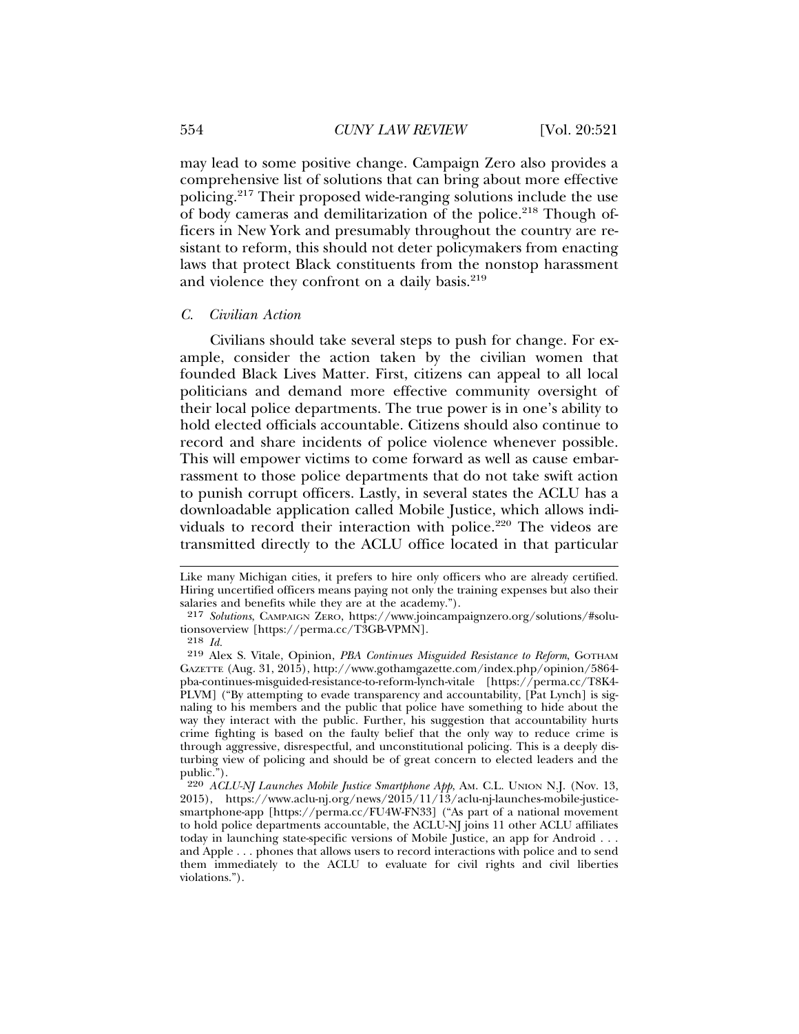may lead to some positive change. Campaign Zero also provides a comprehensive list of solutions that can bring about more effective policing.217 Their proposed wide-ranging solutions include the use of body cameras and demilitarization of the police.<sup>218</sup> Though officers in New York and presumably throughout the country are resistant to reform, this should not deter policymakers from enacting laws that protect Black constituents from the nonstop harassment and violence they confront on a daily basis.<sup>219</sup>

#### *C. Civilian Action*

Civilians should take several steps to push for change. For example, consider the action taken by the civilian women that founded Black Lives Matter. First, citizens can appeal to all local politicians and demand more effective community oversight of their local police departments. The true power is in one's ability to hold elected officials accountable. Citizens should also continue to record and share incidents of police violence whenever possible. This will empower victims to come forward as well as cause embarrassment to those police departments that do not take swift action to punish corrupt officers. Lastly, in several states the ACLU has a downloadable application called Mobile Justice, which allows individuals to record their interaction with police.<sup>220</sup> The videos are transmitted directly to the ACLU office located in that particular

Like many Michigan cities, it prefers to hire only officers who are already certified. Hiring uncertified officers means paying not only the training expenses but also their salaries and benefits while they are at the academy.").

<sup>217</sup> *Solutions*, CAMPAIGN ZERO, https://www.joincampaignzero.org/solutions/#solutionsoverview [https://perma.cc/T3GB-VPMN].

<sup>218</sup> *Id.*

<sup>219</sup> Alex S. Vitale, Opinion, *PBA Continues Misguided Resistance to Reform*, GOTHAM GAZETTE (Aug. 31, 2015), http://www.gothamgazette.com/index.php/opinion/5864 pba-continues-misguided-resistance-to-reform-lynch-vitale [https://perma.cc/T8K4- PLVM] ("By attempting to evade transparency and accountability, [Pat Lynch] is signaling to his members and the public that police have something to hide about the way they interact with the public. Further, his suggestion that accountability hurts crime fighting is based on the faulty belief that the only way to reduce crime is through aggressive, disrespectful, and unconstitutional policing. This is a deeply disturbing view of policing and should be of great concern to elected leaders and the public.").

<sup>220</sup> *ACLU-NJ Launches Mobile Justice Smartphone App*, AM. C.L. UNION N.J. (Nov. 13, 2015), https://www.aclu-nj.org/news/2015/11/13/aclu-nj-launches-mobile-justicesmartphone-app [https://perma.cc/FU4W-FN33] ("As part of a national movement to hold police departments accountable, the ACLU-NJ joins 11 other ACLU affiliates today in launching state-specific versions of Mobile Justice, an app for Android . . . and Apple . . . phones that allows users to record interactions with police and to send them immediately to the ACLU to evaluate for civil rights and civil liberties violations.").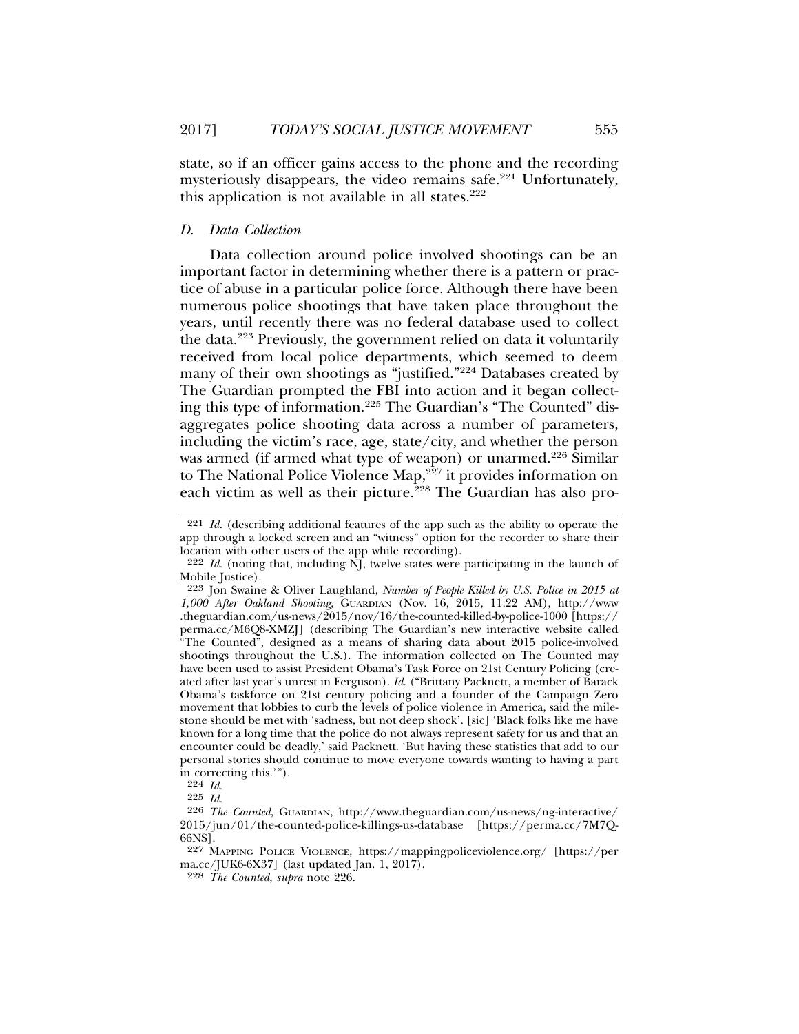state, so if an officer gains access to the phone and the recording mysteriously disappears, the video remains safe.<sup>221</sup> Unfortunately, this application is not available in all states. $222$ 

#### *D. Data Collection*

Data collection around police involved shootings can be an important factor in determining whether there is a pattern or practice of abuse in a particular police force. Although there have been numerous police shootings that have taken place throughout the years, until recently there was no federal database used to collect the data.223 Previously, the government relied on data it voluntarily received from local police departments, which seemed to deem many of their own shootings as "justified."224 Databases created by The Guardian prompted the FBI into action and it began collecting this type of information.225 The Guardian's "The Counted" disaggregates police shooting data across a number of parameters, including the victim's race, age, state/city, and whether the person was armed (if armed what type of weapon) or unarmed.<sup>226</sup> Similar to The National Police Violence Map,<sup>227</sup> it provides information on each victim as well as their picture.<sup>228</sup> The Guardian has also pro-

<sup>221</sup> *Id.* (describing additional features of the app such as the ability to operate the app through a locked screen and an "witness" option for the recorder to share their location with other users of the app while recording).

<sup>222</sup> *Id.* (noting that, including NJ, twelve states were participating in the launch of Mobile Justice).

<sup>223</sup> Jon Swaine & Oliver Laughland, *Number of People Killed by U.S. Police in 2015 at 1,000 After Oakland Shooting*, GUARDIAN (Nov. 16, 2015, 11:22 AM), http://www .theguardian.com/us-news/2015/nov/16/the-counted-killed-by-police-1000 [https:// perma.cc/M6Q8-XMZJ] (describing The Guardian's new interactive website called "The Counted", designed as a means of sharing data about 2015 police-involved shootings throughout the U.S.). The information collected on The Counted may have been used to assist President Obama's Task Force on 21st Century Policing (created after last year's unrest in Ferguson). *Id*. ("Brittany Packnett, a member of Barack Obama's taskforce on 21st century policing and a founder of the Campaign Zero movement that lobbies to curb the levels of police violence in America, said the milestone should be met with 'sadness, but not deep shock'. [sic] 'Black folks like me have known for a long time that the police do not always represent safety for us and that an encounter could be deadly,' said Packnett. 'But having these statistics that add to our personal stories should continue to move everyone towards wanting to having a part in correcting this.'").

<sup>224</sup> *Id.*

<sup>225</sup> *Id.*

<sup>226</sup> *The Counted*, GUARDIAN, http://www.theguardian.com/us-news/ng-interactive/ 2015/jun/01/the-counted-police-killings-us-database [https://perma.cc/7M7Q-66NS].

<sup>227</sup> MAPPING POLICE VIOLENCE, https://mappingpoliceviolence.org/ [https://per ma.cc/JUK6-6X37] (last updated Jan. 1, 2017).

<sup>228</sup> *The Counted*, *supra* note 226.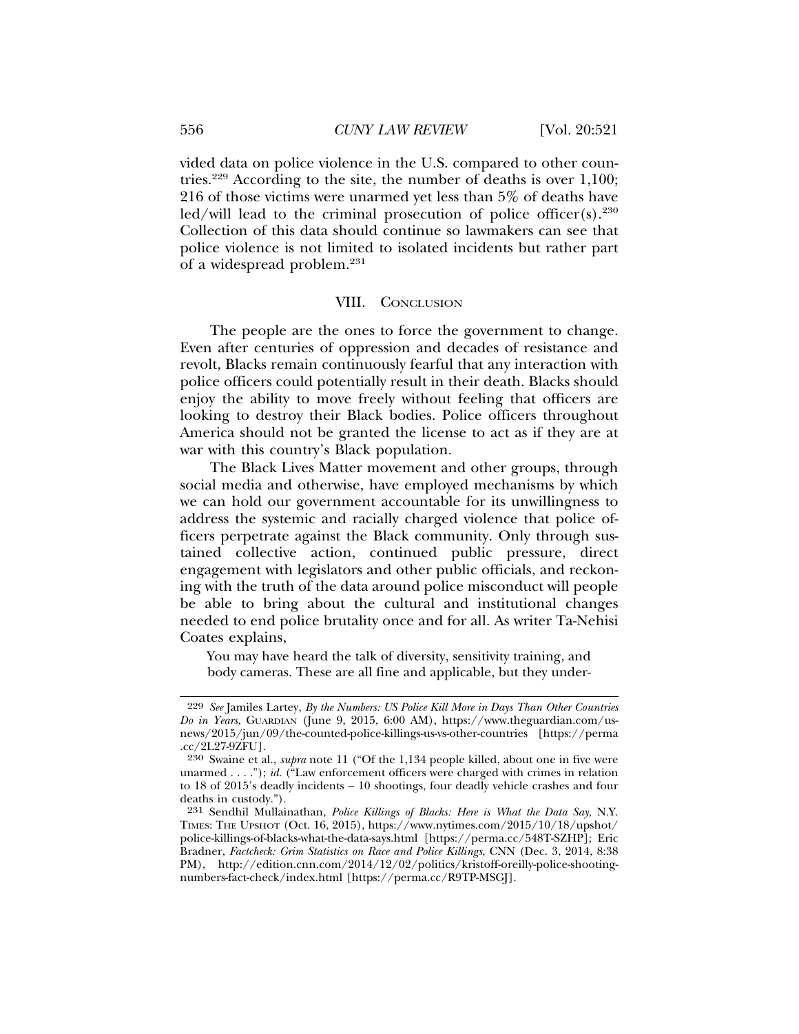vided data on police violence in the U.S. compared to other countries.229 According to the site, the number of deaths is over 1,100; 216 of those victims were unarmed yet less than 5% of deaths have led/will lead to the criminal prosecution of police officer(s).<sup>230</sup> Collection of this data should continue so lawmakers can see that police violence is not limited to isolated incidents but rather part of a widespread problem.231

#### VIII. CONCLUSION

The people are the ones to force the government to change. Even after centuries of oppression and decades of resistance and revolt, Blacks remain continuously fearful that any interaction with police officers could potentially result in their death. Blacks should enjoy the ability to move freely without feeling that officers are looking to destroy their Black bodies. Police officers throughout America should not be granted the license to act as if they are at war with this country's Black population.

The Black Lives Matter movement and other groups, through social media and otherwise, have employed mechanisms by which we can hold our government accountable for its unwillingness to address the systemic and racially charged violence that police officers perpetrate against the Black community. Only through sustained collective action, continued public pressure, direct engagement with legislators and other public officials, and reckoning with the truth of the data around police misconduct will people be able to bring about the cultural and institutional changes needed to end police brutality once and for all. As writer Ta-Nehisi Coates explains,

You may have heard the talk of diversity, sensitivity training, and body cameras. These are all fine and applicable, but they under-

<sup>229</sup> *See* Jamiles Lartey, *By the Numbers: US Police Kill More in Days Than Other Countries Do in Years*, GUARDIAN (June 9, 2015, 6:00 AM), https://www.theguardian.com/usnews/2015/jun/09/the-counted-police-killings-us-vs-other-countries [https://perma .cc/2L27-9ZFU].

<sup>230</sup> Swaine et al., *supra* note 11 ("Of the 1,134 people killed, about one in five were unarmed . . . ."); *id.* ("Law enforcement officers were charged with crimes in relation to 18 of 2015's deadly incidents – 10 shootings, four deadly vehicle crashes and four deaths in custody.").

<sup>231</sup> Sendhil Mullainathan, *Police Killings of Blacks: Here is What the Data Say*, N.Y. TIMES: THE UPSHOT (Oct. 16, 2015), https://www.nytimes.com/2015/10/18/upshot/ police-killings-of-blacks-what-the-data-says.html [https://perma.cc/548T-SZHP]; Eric Bradner, *Factcheck: Grim Statistics on Race and Police Killings*, CNN (Dec. 3, 2014, 8:38 PM), http://edition.cnn.com/2014/12/02/politics/kristoff-oreilly-police-shootingnumbers-fact-check/index.html [https://perma.cc/R9TP-MSGJ].